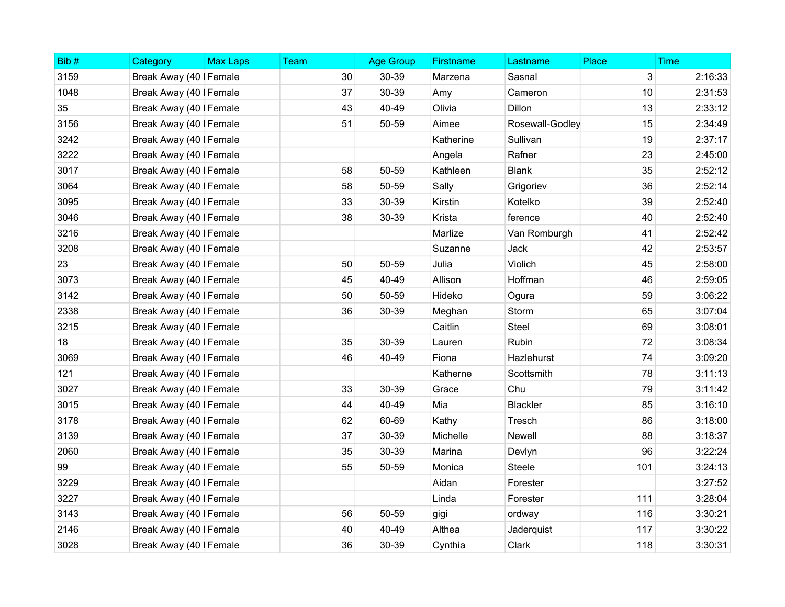| Bib# | Category                | <b>Max Laps</b> | Team | <b>Age Group</b> | <b>Firstname</b> | Lastname        | Place | <b>Time</b> |
|------|-------------------------|-----------------|------|------------------|------------------|-----------------|-------|-------------|
| 3159 | Break Away (40   Female |                 | 30   | 30-39            | Marzena          | Sasnal          | 3     | 2:16:33     |
| 1048 | Break Away (40   Female |                 | 37   | 30-39            | Amy              | Cameron         | 10    | 2:31:53     |
| 35   | Break Away (40   Female |                 | 43   | 40-49            | Olivia           | Dillon          | 13    | 2:33:12     |
| 3156 | Break Away (40   Female |                 | 51   | 50-59            | Aimee            | Rosewall-Godley | 15    | 2:34:49     |
| 3242 | Break Away (40   Female |                 |      |                  | Katherine        | Sullivan        | 19    | 2:37:17     |
| 3222 | Break Away (40   Female |                 |      |                  | Angela           | Rafner          | 23    | 2:45:00     |
| 3017 | Break Away (40   Female |                 | 58   | 50-59            | Kathleen         | <b>Blank</b>    | 35    | 2:52:12     |
| 3064 | Break Away (40   Female |                 | 58   | 50-59            | Sally            | Grigoriev       | 36    | 2:52:14     |
| 3095 | Break Away (40   Female |                 | 33   | 30-39            | Kirstin          | Kotelko         | 39    | 2:52:40     |
| 3046 | Break Away (40   Female |                 | 38   | 30-39            | Krista           | ference         | 40    | 2:52:40     |
| 3216 | Break Away (40   Female |                 |      |                  | Marlize          | Van Romburgh    | 41    | 2:52:42     |
| 3208 | Break Away (40   Female |                 |      |                  | Suzanne          | Jack            | 42    | 2:53:57     |
| 23   | Break Away (40   Female |                 | 50   | 50-59            | Julia            | Violich         | 45    | 2:58:00     |
| 3073 | Break Away (40   Female |                 | 45   | 40-49            | Allison          | Hoffman         | 46    | 2:59:05     |
| 3142 | Break Away (40   Female |                 | 50   | 50-59            | Hideko           | Ogura           | 59    | 3:06:22     |
| 2338 | Break Away (40   Female |                 | 36   | 30-39            | Meghan           | Storm           | 65    | 3:07:04     |
| 3215 | Break Away (40   Female |                 |      |                  | Caitlin          | Steel           | 69    | 3:08:01     |
| 18   | Break Away (40   Female |                 | 35   | 30-39            | Lauren           | Rubin           | 72    | 3:08:34     |
| 3069 | Break Away (40   Female |                 | 46   | 40-49            | Fiona            | Hazlehurst      | 74    | 3:09:20     |
| 121  | Break Away (40   Female |                 |      |                  | Katherne         | Scottsmith      | 78    | 3:11:13     |
| 3027 | Break Away (40   Female |                 | 33   | 30-39            | Grace            | Chu             | 79    | 3:11:42     |
| 3015 | Break Away (40   Female |                 | 44   | 40-49            | Mia              | <b>Blackler</b> | 85    | 3:16:10     |
| 3178 | Break Away (40   Female |                 | 62   | 60-69            | Kathy            | Tresch          | 86    | 3:18:00     |
| 3139 | Break Away (40   Female |                 | 37   | 30-39            | Michelle         | Newell          | 88    | 3:18:37     |
| 2060 | Break Away (40   Female |                 | 35   | 30-39            | Marina           | Devlyn          | 96    | 3:22:24     |
| 99   | Break Away (40   Female |                 | 55   | 50-59            | Monica           | Steele          | 101   | 3:24:13     |
| 3229 | Break Away (40   Female |                 |      |                  | Aidan            | Forester        |       | 3:27:52     |
| 3227 | Break Away (40   Female |                 |      |                  | Linda            | Forester        | 111   | 3:28:04     |
| 3143 | Break Away (40   Female |                 | 56   | 50-59            | gigi             | ordway          | 116   | 3:30:21     |
| 2146 | Break Away (40   Female |                 | 40   | 40-49            | Althea           | Jaderquist      | 117   | 3:30:22     |
| 3028 | Break Away (40   Female |                 | 36   | 30-39            | Cynthia          | Clark           | 118   | 3:30:31     |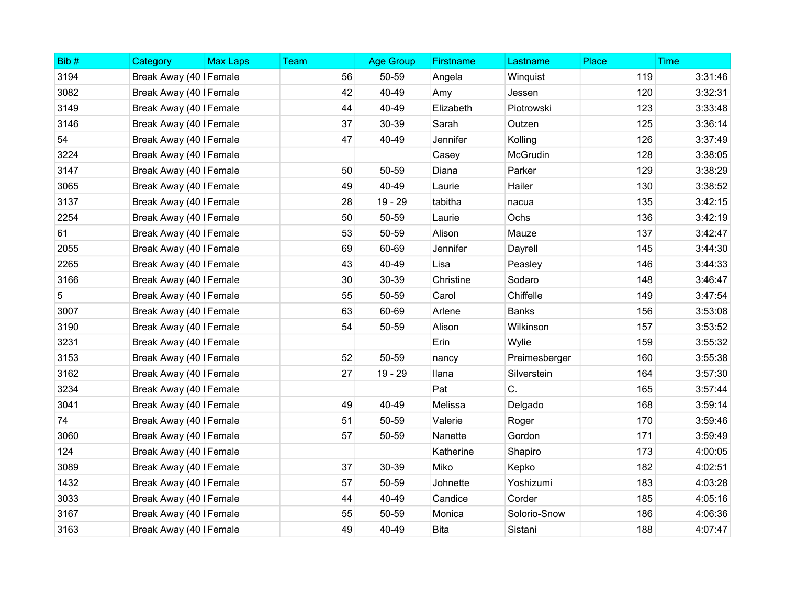| Bib# | Category                | <b>Max Laps</b> | Team | <b>Age Group</b> | Firstname   | Lastname      | Place | <b>Time</b> |
|------|-------------------------|-----------------|------|------------------|-------------|---------------|-------|-------------|
| 3194 | Break Away (40   Female |                 | 56   | 50-59            | Angela      | Winquist      | 119   | 3:31:46     |
| 3082 | Break Away (40   Female |                 | 42   | 40-49            | Amy         | Jessen        | 120   | 3:32:31     |
| 3149 | Break Away (40   Female |                 | 44   | 40-49            | Elizabeth   | Piotrowski    | 123   | 3:33:48     |
| 3146 | Break Away (40   Female |                 | 37   | 30-39            | Sarah       | Outzen        | 125   | 3:36:14     |
| 54   | Break Away (40   Female |                 | 47   | 40-49            | Jennifer    | Kolling       | 126   | 3:37:49     |
| 3224 | Break Away (40   Female |                 |      |                  | Casey       | McGrudin      | 128   | 3:38:05     |
| 3147 | Break Away (40   Female |                 | 50   | 50-59            | Diana       | Parker        | 129   | 3:38:29     |
| 3065 | Break Away (40   Female |                 | 49   | 40-49            | Laurie      | Hailer        | 130   | 3:38:52     |
| 3137 | Break Away (40   Female |                 | 28   | $19 - 29$        | tabitha     | nacua         | 135   | 3:42:15     |
| 2254 | Break Away (40   Female |                 | 50   | 50-59            | Laurie      | Ochs          | 136   | 3:42:19     |
| 61   | Break Away (40   Female |                 | 53   | 50-59            | Alison      | Mauze         | 137   | 3:42:47     |
| 2055 | Break Away (40   Female |                 | 69   | 60-69            | Jennifer    | Dayrell       | 145   | 3:44:30     |
| 2265 | Break Away (40   Female |                 | 43   | 40-49            | Lisa        | Peasley       | 146   | 3:44:33     |
| 3166 | Break Away (40   Female |                 | 30   | 30-39            | Christine   | Sodaro        | 148   | 3:46:47     |
| 5    | Break Away (40   Female |                 | 55   | 50-59            | Carol       | Chiffelle     | 149   | 3:47:54     |
| 3007 | Break Away (40   Female |                 | 63   | 60-69            | Arlene      | <b>Banks</b>  | 156   | 3:53:08     |
| 3190 | Break Away (40   Female |                 | 54   | 50-59            | Alison      | Wilkinson     | 157   | 3:53:52     |
| 3231 | Break Away (40   Female |                 |      |                  | Erin        | Wylie         | 159   | 3:55:32     |
| 3153 | Break Away (40   Female |                 | 52   | 50-59            | nancy       | Preimesberger | 160   | 3:55:38     |
| 3162 | Break Away (40   Female |                 | 27   | $19 - 29$        | llana       | Silverstein   | 164   | 3:57:30     |
| 3234 | Break Away (40   Female |                 |      |                  | Pat         | C.            | 165   | 3:57:44     |
| 3041 | Break Away (40   Female |                 | 49   | 40-49            | Melissa     | Delgado       | 168   | 3:59:14     |
| 74   | Break Away (40   Female |                 | 51   | 50-59            | Valerie     | Roger         | 170   | 3:59:46     |
| 3060 | Break Away (40   Female |                 | 57   | 50-59            | Nanette     | Gordon        | 171   | 3:59:49     |
| 124  | Break Away (40   Female |                 |      |                  | Katherine   | Shapiro       | 173   | 4:00:05     |
| 3089 | Break Away (40   Female |                 | 37   | 30-39            | Miko        | Kepko         | 182   | 4:02:51     |
| 1432 | Break Away (40   Female |                 | 57   | 50-59            | Johnette    | Yoshizumi     | 183   | 4:03:28     |
| 3033 | Break Away (40   Female |                 | 44   | 40-49            | Candice     | Corder        | 185   | 4:05:16     |
| 3167 | Break Away (40   Female |                 | 55   | 50-59            | Monica      | Solorio-Snow  | 186   | 4:06:36     |
| 3163 | Break Away (40   Female |                 | 49   | 40-49            | <b>Bita</b> | Sistani       | 188   | 4:07:47     |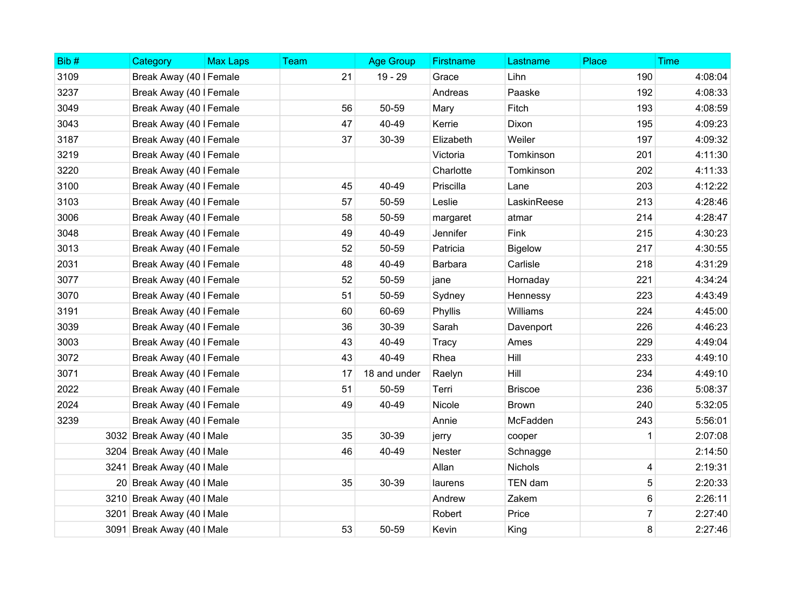| Bib# | Category                   | <b>Max Laps</b> | Team | <b>Age Group</b> | <b>Firstname</b> | Lastname       | Place | <b>Time</b> |
|------|----------------------------|-----------------|------|------------------|------------------|----------------|-------|-------------|
| 3109 | Break Away (40   Female    |                 | 21   | $19 - 29$        | Grace            | Lihn           | 190   | 4:08:04     |
| 3237 | Break Away (40   Female    |                 |      |                  | Andreas          | Paaske         | 192   | 4:08:33     |
| 3049 | Break Away (40   Female    |                 | 56   | 50-59            | Mary             | Fitch          | 193   | 4:08:59     |
| 3043 | Break Away (40   Female    |                 | 47   | 40-49            | Kerrie           | Dixon          | 195   | 4:09:23     |
| 3187 | Break Away (40   Female    |                 | 37   | 30-39            | Elizabeth        | Weiler         | 197   | 4:09:32     |
| 3219 | Break Away (40   Female    |                 |      |                  | Victoria         | Tomkinson      | 201   | 4:11:30     |
| 3220 | Break Away (40   Female    |                 |      |                  | Charlotte        | Tomkinson      | 202   | 4:11:33     |
| 3100 | Break Away (40   Female    |                 | 45   | 40-49            | Priscilla        | Lane           | 203   | 4:12:22     |
| 3103 | Break Away (40   Female    |                 | 57   | 50-59            | Leslie           | LaskinReese    | 213   | 4:28:46     |
| 3006 | Break Away (40   Female    |                 | 58   | 50-59            | margaret         | atmar          | 214   | 4:28:47     |
| 3048 | Break Away (40   Female    |                 | 49   | 40-49            | Jennifer         | Fink           | 215   | 4:30:23     |
| 3013 | Break Away (40   Female    |                 | 52   | 50-59            | Patricia         | <b>Bigelow</b> | 217   | 4:30:55     |
| 2031 | Break Away (40   Female    |                 | 48   | 40-49            | Barbara          | Carlisle       | 218   | 4:31:29     |
| 3077 | Break Away (40   Female    |                 | 52   | 50-59            | jane             | Hornaday       | 221   | 4:34:24     |
| 3070 | Break Away (40   Female    |                 | 51   | 50-59            | Sydney           | Hennessy       | 223   | 4:43:49     |
| 3191 | Break Away (40   Female    |                 | 60   | 60-69            | Phyllis          | Williams       | 224   | 4:45:00     |
| 3039 | Break Away (40   Female    |                 | 36   | 30-39            | Sarah            | Davenport      | 226   | 4:46:23     |
| 3003 | Break Away (40   Female    |                 | 43   | 40-49            | Tracy            | Ames           | 229   | 4:49:04     |
| 3072 | Break Away (40   Female    |                 | 43   | 40-49            | Rhea             | Hill           | 233   | 4:49:10     |
| 3071 | Break Away (40   Female    |                 | 17   | 18 and under     | Raelyn           | <b>Hill</b>    | 234   | 4:49:10     |
| 2022 | Break Away (40   Female    |                 | 51   | 50-59            | Terri            | <b>Briscoe</b> | 236   | 5:08:37     |
| 2024 | Break Away (40   Female    |                 | 49   | 40-49            | Nicole           | <b>Brown</b>   | 240   | 5:32:05     |
| 3239 | Break Away (40   Female    |                 |      |                  | Annie            | McFadden       | 243   | 5:56:01     |
|      | 3032 Break Away (40   Male |                 | 35   | 30-39            | jerry            | cooper         |       | 2:07:08     |
|      | 3204 Break Away (40   Male |                 | 46   | 40-49            | Nester           | Schnagge       |       | 2:14:50     |
|      | 3241 Break Away (40   Male |                 |      |                  | Allan            | <b>Nichols</b> | 4     | 2:19:31     |
|      | 20 Break Away (40   Male   |                 | 35   | 30-39            | laurens          | TEN dam        | 5     | 2:20:33     |
|      | 3210 Break Away (40   Male |                 |      |                  | Andrew           | Zakem          | 6     | 2:26:11     |
|      | 3201 Break Away (40   Male |                 |      |                  | Robert           | Price          | 7     | 2:27:40     |
|      | 3091 Break Away (40   Male |                 | 53   | 50-59            | Kevin            | King           | 8     | 2:27:46     |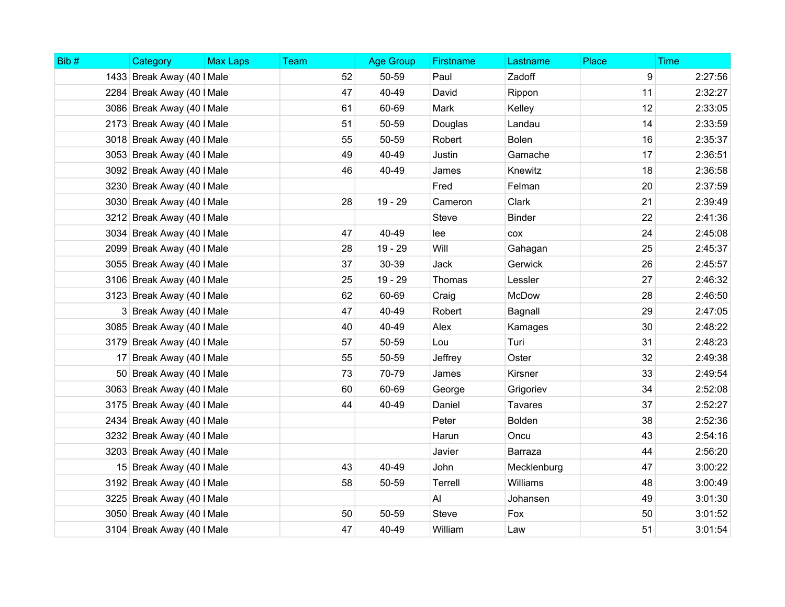| Bib# | Category                   | <b>Max Laps</b> | Team | <b>Age Group</b> | Firstname    | Lastname       | Place | <b>Time</b> |
|------|----------------------------|-----------------|------|------------------|--------------|----------------|-------|-------------|
|      | 1433 Break Away (40   Male |                 | 52   | 50-59            | Paul         | Zadoff         | 9     | 2:27:56     |
|      | 2284 Break Away (40   Male |                 | 47   | 40-49            | David        | Rippon         | 11    | 2:32:27     |
|      | 3086 Break Away (40   Male |                 | 61   | 60-69            | Mark         | Kelley         | 12    | 2:33:05     |
|      | 2173 Break Away (40   Male |                 | 51   | 50-59            | Douglas      | Landau         | 14    | 2:33:59     |
|      | 3018 Break Away (40   Male |                 | 55   | 50-59            | Robert       | <b>Bolen</b>   | 16    | 2:35:37     |
|      | 3053 Break Away (40   Male |                 | 49   | 40-49            | Justin       | Gamache        | 17    | 2:36:51     |
|      | 3092 Break Away (40   Male |                 | 46   | 40-49            | James        | Knewitz        | 18    | 2:36:58     |
|      | 3230 Break Away (40   Male |                 |      |                  | Fred         | Felman         | 20    | 2:37:59     |
|      | 3030 Break Away (40   Male |                 | 28   | 19 - 29          | Cameron      | Clark          | 21    | 2:39:49     |
|      | 3212 Break Away (40   Male |                 |      |                  | <b>Steve</b> | <b>Binder</b>  | 22    | 2:41:36     |
|      | 3034 Break Away (40   Male |                 | 47   | 40-49            | lee          | COX            | 24    | 2:45:08     |
|      | 2099 Break Away (40   Male |                 | 28   | 19 - 29          | Will         | Gahagan        | 25    | 2:45:37     |
|      | 3055 Break Away (40   Male |                 | 37   | 30-39            | Jack         | Gerwick        | 26    | 2:45:57     |
|      | 3106 Break Away (40   Male |                 | 25   | 19 - 29          | Thomas       | Lessler        | 27    | 2:46:32     |
|      | 3123 Break Away (40   Male |                 | 62   | 60-69            | Craig        | McDow          | 28    | 2:46:50     |
|      | 3 Break Away (40   Male    |                 | 47   | 40-49            | Robert       | Bagnall        | 29    | 2:47:05     |
|      | 3085 Break Away (40   Male |                 | 40   | 40-49            | Alex         | Kamages        | 30    | 2:48:22     |
|      | 3179 Break Away (40   Male |                 | 57   | 50-59            | Lou          | Turi           | 31    | 2:48:23     |
|      | 17 Break Away (40   Male   |                 | 55   | 50-59            | Jeffrey      | Oster          | 32    | 2:49:38     |
|      | 50 Break Away (40   Male   |                 | 73   | 70-79            | James        | <b>Kirsner</b> | 33    | 2:49:54     |
|      | 3063 Break Away (40   Male |                 | 60   | 60-69            | George       | Grigoriev      | 34    | 2:52:08     |
|      | 3175 Break Away (40   Male |                 | 44   | 40-49            | Daniel       | Tavares        | 37    | 2:52:27     |
|      | 2434 Break Away (40   Male |                 |      |                  | Peter        | <b>Bolden</b>  | 38    | 2:52:36     |
|      | 3232 Break Away (40   Male |                 |      |                  | Harun        | Oncu           | 43    | 2:54:16     |
|      | 3203 Break Away (40   Male |                 |      |                  | Javier       | Barraza        | 44    | 2:56:20     |
|      | 15 Break Away (40   Male   |                 | 43   | 40-49            | John         | Mecklenburg    | 47    | 3:00:22     |
|      | 3192 Break Away (40   Male |                 | 58   | 50-59            | Terrell      | Williams       | 48    | 3:00:49     |
|      | 3225 Break Away (40   Male |                 |      |                  | AI           | Johansen       | 49    | 3:01:30     |
|      | 3050 Break Away (40   Male |                 | 50   | 50-59            | <b>Steve</b> | Fox            | 50    | 3:01:52     |
|      | 3104 Break Away (40   Male |                 | 47   | 40-49            | William      | Law            | 51    | 3:01:54     |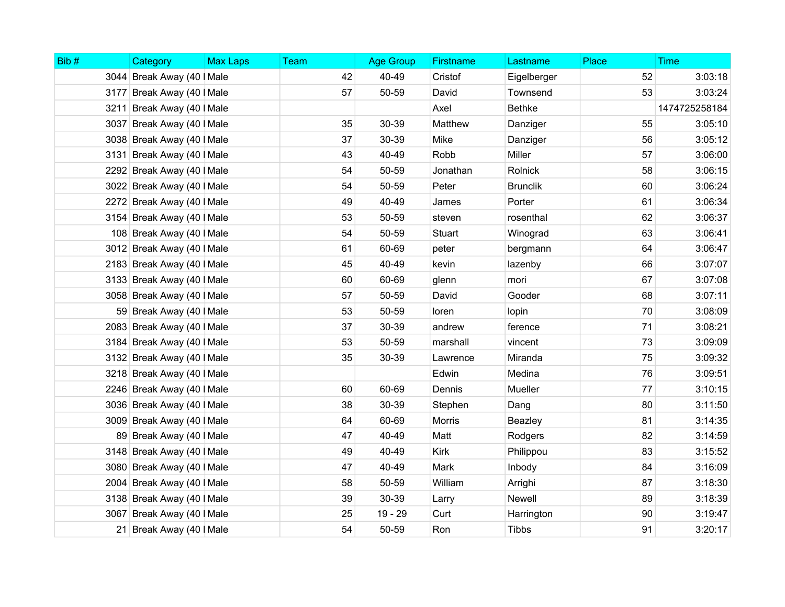| Bib# | Category                   | <b>Max Laps</b> | Team | <b>Age Group</b> | <b>Firstname</b> | Lastname        | Place | <b>Time</b>   |
|------|----------------------------|-----------------|------|------------------|------------------|-----------------|-------|---------------|
|      | 3044 Break Away (40   Male |                 | 42   | 40-49            | Cristof          | Eigelberger     | 52    | 3:03:18       |
|      | 3177 Break Away (40   Male |                 | 57   | 50-59            | David            | Townsend        | 53    | 3:03:24       |
|      | 3211 Break Away (40   Male |                 |      |                  | Axel             | <b>Bethke</b>   |       | 1474725258184 |
|      | 3037 Break Away (40   Male |                 | 35   | 30-39            | Matthew          | Danziger        | 55    | 3:05:10       |
|      | 3038 Break Away (40   Male |                 | 37   | 30-39            | Mike             | Danziger        | 56    | 3:05:12       |
|      | 3131 Break Away (40   Male |                 | 43   | 40-49            | Robb             | Miller          | 57    | 3:06:00       |
|      | 2292 Break Away (40   Male |                 | 54   | 50-59            | Jonathan         | Rolnick         | 58    | 3:06:15       |
|      | 3022 Break Away (40   Male |                 | 54   | 50-59            | Peter            | <b>Brunclik</b> | 60    | 3:06:24       |
|      | 2272 Break Away (40   Male |                 | 49   | 40-49            | James            | Porter          | 61    | 3:06:34       |
|      | 3154 Break Away (40   Male |                 | 53   | 50-59            | steven           | rosenthal       | 62    | 3:06:37       |
|      | 108 Break Away (40   Male  |                 | 54   | 50-59            | Stuart           | Winograd        | 63    | 3:06:41       |
|      | 3012 Break Away (40   Male |                 | 61   | 60-69            | peter            | bergmann        | 64    | 3:06:47       |
|      | 2183 Break Away (40   Male |                 | 45   | 40-49            | kevin            | lazenby         | 66    | 3:07:07       |
|      | 3133 Break Away (40   Male |                 | 60   | 60-69            | glenn            | mori            | 67    | 3:07:08       |
|      | 3058 Break Away (40   Male |                 | 57   | 50-59            | David            | Gooder          | 68    | 3:07:11       |
|      | 59 Break Away (40   Male   |                 | 53   | 50-59            | loren            | lopin           | 70    | 3:08:09       |
|      | 2083 Break Away (40   Male |                 | 37   | 30-39            | andrew           | ference         | 71    | 3:08:21       |
|      | 3184 Break Away (40   Male |                 | 53   | 50-59            | marshall         | vincent         | 73    | 3:09:09       |
|      | 3132 Break Away (40   Male |                 | 35   | 30-39            | Lawrence         | Miranda         | 75    | 3:09:32       |
|      | 3218 Break Away (40   Male |                 |      |                  | Edwin            | Medina          | 76    | 3:09:51       |
|      | 2246 Break Away (40   Male |                 | 60   | 60-69            | Dennis           | Mueller         | 77    | 3:10:15       |
|      | 3036 Break Away (40   Male |                 | 38   | 30-39            | Stephen          | Dang            | 80    | 3:11:50       |
|      | 3009 Break Away (40   Male |                 | 64   | 60-69            | Morris           | Beazley         | 81    | 3:14:35       |
|      | 89 Break Away (40   Male   |                 | 47   | 40-49            | Matt             | Rodgers         | 82    | 3:14:59       |
|      | 3148 Break Away (40   Male |                 | 49   | 40-49            | <b>Kirk</b>      | Philippou       | 83    | 3:15:52       |
|      | 3080 Break Away (40   Male |                 | 47   | 40-49            | Mark             | Inbody          | 84    | 3:16:09       |
|      | 2004 Break Away (40   Male |                 | 58   | 50-59            | William          | Arrighi         | 87    | 3:18:30       |
|      | 3138 Break Away (40   Male |                 | 39   | 30-39            | Larry            | Newell          | 89    | 3:18:39       |
|      | 3067 Break Away (40   Male |                 | 25   | $19 - 29$        | Curt             | Harrington      | 90    | 3:19:47       |
|      | 21 Break Away (40   Male   |                 | 54   | 50-59            | Ron              | <b>Tibbs</b>    | 91    | 3:20:17       |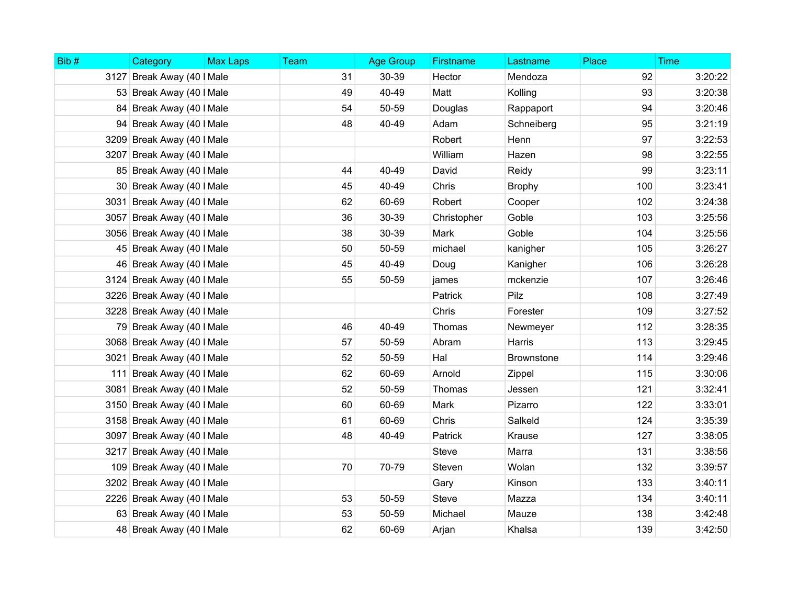| Bib# | Category                   | <b>Max Laps</b> | Team | <b>Age Group</b> | Firstname    | Lastname          | Place | <b>Time</b> |
|------|----------------------------|-----------------|------|------------------|--------------|-------------------|-------|-------------|
|      | 3127 Break Away (40   Male |                 | 31   | 30-39            | Hector       | Mendoza           | 92    | 3:20:22     |
|      | 53 Break Away (40   Male   |                 | 49   | 40-49            | Matt         | Kolling           | 93    | 3:20:38     |
|      | 84 Break Away (40   Male   |                 | 54   | 50-59            | Douglas      | Rappaport         | 94    | 3:20:46     |
|      | 94 Break Away (40   Male   |                 | 48   | 40-49            | Adam         | Schneiberg        | 95    | 3:21:19     |
|      | 3209 Break Away (40   Male |                 |      |                  | Robert       | Henn              | 97    | 3:22:53     |
|      | 3207 Break Away (40   Male |                 |      |                  | William      | Hazen             | 98    | 3:22:55     |
|      | 85 Break Away (40   Male   |                 | 44   | 40-49            | David        | Reidy             | 99    | 3:23:11     |
|      | 30 Break Away (40   Male   |                 | 45   | 40-49            | Chris        | <b>Brophy</b>     | 100   | 3:23:41     |
|      | 3031 Break Away (40   Male |                 | 62   | 60-69            | Robert       | Cooper            | 102   | 3:24:38     |
|      | 3057 Break Away (40   Male |                 | 36   | 30-39            | Christopher  | Goble             | 103   | 3:25:56     |
|      | 3056 Break Away (40   Male |                 | 38   | 30-39            | Mark         | Goble             | 104   | 3:25:56     |
|      | 45 Break Away (40   Male   |                 | 50   | 50-59            | michael      | kanigher          | 105   | 3:26:27     |
|      | 46 Break Away (40   Male   |                 | 45   | 40-49            | Doug         | Kanigher          | 106   | 3:26:28     |
|      | 3124 Break Away (40   Male |                 | 55   | 50-59            | james        | mckenzie          | 107   | 3:26:46     |
|      | 3226 Break Away (40   Male |                 |      |                  | Patrick      | Pilz              | 108   | 3:27:49     |
|      | 3228 Break Away (40   Male |                 |      |                  | Chris        | Forester          | 109   | 3:27:52     |
|      | 79 Break Away (40   Male   |                 | 46   | 40-49            | Thomas       | Newmeyer          | 112   | 3:28:35     |
|      | 3068 Break Away (40   Male |                 | 57   | 50-59            | Abram        | Harris            | 113   | 3:29:45     |
|      | 3021 Break Away (40   Male |                 | 52   | 50-59            | Hal          | <b>Brownstone</b> | 114   | 3:29:46     |
|      | 111 Break Away (40   Male  |                 | 62   | 60-69            | Arnold       | Zippel            | 115   | 3:30:06     |
|      | 3081 Break Away (40   Male |                 | 52   | 50-59            | Thomas       | Jessen            | 121   | 3:32:41     |
|      | 3150 Break Away (40   Male |                 | 60   | 60-69            | Mark         | Pizarro           | 122   | 3:33:01     |
|      | 3158 Break Away (40   Male |                 | 61   | 60-69            | Chris        | Salkeld           | 124   | 3:35:39     |
|      | 3097 Break Away (40   Male |                 | 48   | 40-49            | Patrick      | Krause            | 127   | 3:38:05     |
|      | 3217 Break Away (40   Male |                 |      |                  | <b>Steve</b> | Marra             | 131   | 3:38:56     |
|      | 109 Break Away (40   Male  |                 | 70   | 70-79            | Steven       | Wolan             | 132   | 3:39:57     |
|      | 3202 Break Away (40   Male |                 |      |                  | Gary         | Kinson            | 133   | 3:40:11     |
|      | 2226 Break Away (40   Male |                 | 53   | 50-59            | <b>Steve</b> | Mazza             | 134   | 3:40:11     |
|      | 63 Break Away (40   Male   |                 | 53   | 50-59            | Michael      | Mauze             | 138   | 3:42:48     |
|      | 48 Break Away (40   Male   |                 | 62   | 60-69            | Arjan        | Khalsa            | 139   | 3:42:50     |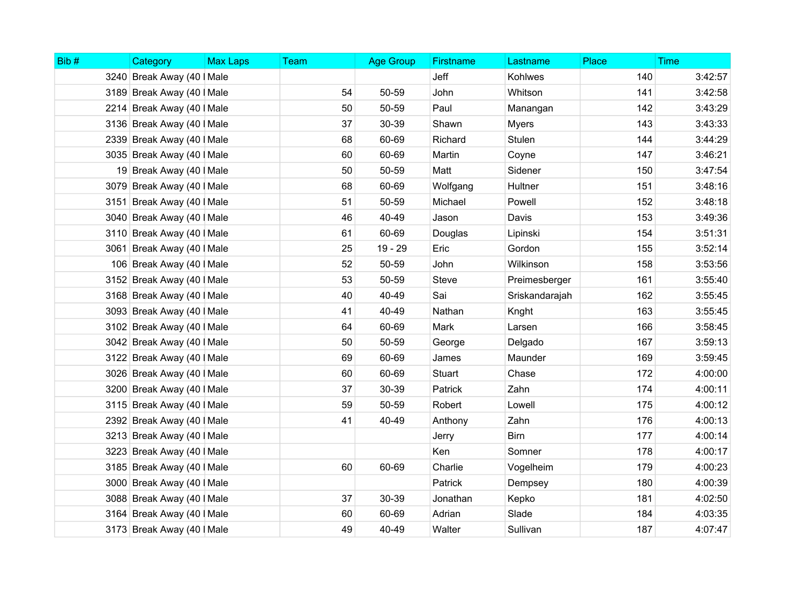| Bib# | Category                   | <b>Max Laps</b> | Team | <b>Age Group</b> | <b>Firstname</b> | Lastname       | Place | <b>Time</b> |
|------|----------------------------|-----------------|------|------------------|------------------|----------------|-------|-------------|
|      | 3240 Break Away (40   Male |                 |      |                  | Jeff             | Kohlwes        | 140   | 3:42:57     |
|      | 3189 Break Away (40   Male |                 | 54   | 50-59            | John             | Whitson        | 141   | 3:42:58     |
|      | 2214 Break Away (40   Male |                 | 50   | 50-59            | Paul             | Manangan       | 142   | 3:43:29     |
|      | 3136 Break Away (40   Male |                 | 37   | 30-39            | Shawn            | <b>Myers</b>   | 143   | 3:43:33     |
|      | 2339 Break Away (40   Male |                 | 68   | 60-69            | Richard          | Stulen         | 144   | 3:44:29     |
|      | 3035 Break Away (40   Male |                 | 60   | 60-69            | Martin           | Coyne          | 147   | 3:46:21     |
|      | 19 Break Away (40   Male   |                 | 50   | 50-59            | Matt             | Sidener        | 150   | 3:47:54     |
|      | 3079 Break Away (40   Male |                 | 68   | 60-69            | Wolfgang         | Hultner        | 151   | 3:48:16     |
|      | 3151 Break Away (40   Male |                 | 51   | 50-59            | Michael          | Powell         | 152   | 3:48:18     |
|      | 3040 Break Away (40   Male |                 | 46   | 40-49            | Jason            | Davis          | 153   | 3:49:36     |
|      | 3110 Break Away (40   Male |                 | 61   | 60-69            | Douglas          | Lipinski       | 154   | 3:51:31     |
|      | 3061 Break Away (40   Male |                 | 25   | 19 - 29          | Eric             | Gordon         | 155   | 3:52:14     |
|      | 106 Break Away (40   Male  |                 | 52   | 50-59            | John             | Wilkinson      | 158   | 3:53:56     |
|      | 3152 Break Away (40   Male |                 | 53   | 50-59            | <b>Steve</b>     | Preimesberger  | 161   | 3:55:40     |
|      | 3168 Break Away (40   Male |                 | 40   | 40-49            | Sai              | Sriskandarajah | 162   | 3:55:45     |
|      | 3093 Break Away (40   Male |                 | 41   | 40-49            | Nathan           | Knght          | 163   | 3:55:45     |
|      | 3102 Break Away (40   Male |                 | 64   | 60-69            | Mark             | Larsen         | 166   | 3:58:45     |
|      | 3042 Break Away (40   Male |                 | 50   | 50-59            | George           | Delgado        | 167   | 3:59:13     |
|      | 3122 Break Away (40   Male |                 | 69   | 60-69            | James            | Maunder        | 169   | 3:59:45     |
|      | 3026 Break Away (40   Male |                 | 60   | 60-69            | Stuart           | Chase          | 172   | 4:00:00     |
|      | 3200 Break Away (40   Male |                 | 37   | 30-39            | Patrick          | Zahn           | 174   | 4:00:11     |
|      | 3115 Break Away (40   Male |                 | 59   | 50-59            | Robert           | Lowell         | 175   | 4:00:12     |
|      | 2392 Break Away (40   Male |                 | 41   | 40-49            | Anthony          | Zahn           | 176   | 4:00:13     |
|      | 3213 Break Away (40   Male |                 |      |                  | Jerry            | <b>Birn</b>    | 177   | 4:00:14     |
|      | 3223 Break Away (40   Male |                 |      |                  | Ken              | Somner         | 178   | 4:00:17     |
|      | 3185 Break Away (40   Male |                 | 60   | 60-69            | Charlie          | Vogelheim      | 179   | 4:00:23     |
|      | 3000 Break Away (40   Male |                 |      |                  | Patrick          | Dempsey        | 180   | 4:00:39     |
|      | 3088 Break Away (40   Male |                 | 37   | 30-39            | Jonathan         | Kepko          | 181   | 4:02:50     |
|      | 3164 Break Away (40   Male |                 | 60   | 60-69            | Adrian           | Slade          | 184   | 4:03:35     |
|      | 3173 Break Away (40   Male |                 | 49   | 40-49            | Walter           | Sullivan       | 187   | 4:07:47     |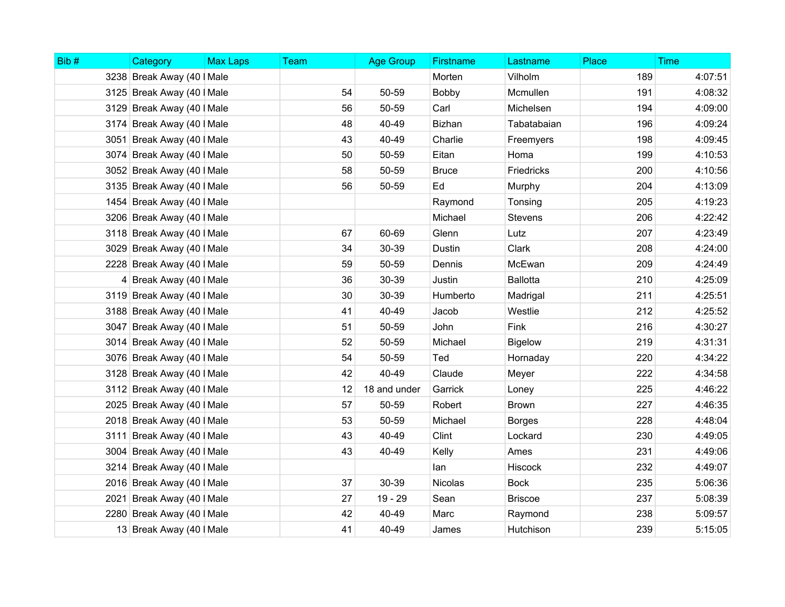| Bib# | Category                   | <b>Max Laps</b> | <b>Team</b> | <b>Age Group</b> | <b>Firstname</b> | Lastname        | Place | <b>Time</b> |
|------|----------------------------|-----------------|-------------|------------------|------------------|-----------------|-------|-------------|
|      | 3238 Break Away (40   Male |                 |             |                  | Morten           | Vilholm         | 189   | 4:07:51     |
|      | 3125 Break Away (40   Male |                 | 54          | 50-59            | Bobby            | Mcmullen        | 191   | 4:08:32     |
|      | 3129 Break Away (40   Male |                 | 56          | 50-59            | Carl             | Michelsen       | 194   | 4:09:00     |
|      | 3174 Break Away (40   Male |                 | 48          | 40-49            | <b>Bizhan</b>    | Tabatabaian     | 196   | 4:09:24     |
|      | 3051 Break Away (40   Male |                 | 43          | 40-49            | Charlie          | Freemyers       | 198   | 4:09:45     |
|      | 3074 Break Away (40   Male |                 | 50          | 50-59            | Eitan            | Homa            | 199   | 4:10:53     |
|      | 3052 Break Away (40   Male |                 | 58          | 50-59            | <b>Bruce</b>     | Friedricks      | 200   | 4:10:56     |
|      | 3135 Break Away (40   Male |                 | 56          | 50-59            | Ed               | Murphy          | 204   | 4:13:09     |
|      | 1454 Break Away (40   Male |                 |             |                  | Raymond          | Tonsing         | 205   | 4:19:23     |
|      | 3206 Break Away (40   Male |                 |             |                  | Michael          | Stevens         | 206   | 4:22:42     |
|      | 3118 Break Away (40   Male |                 | 67          | 60-69            | Glenn            | Lutz            | 207   | 4:23:49     |
|      | 3029 Break Away (40   Male |                 | 34          | 30-39            | Dustin           | Clark           | 208   | 4:24:00     |
|      | 2228 Break Away (40   Male |                 | 59          | 50-59            | Dennis           | McEwan          | 209   | 4:24:49     |
|      | 4 Break Away (40   Male    |                 | 36          | 30-39            | Justin           | <b>Ballotta</b> | 210   | 4:25:09     |
|      | 3119 Break Away (40   Male |                 | 30          | 30-39            | Humberto         | Madrigal        | 211   | 4:25:51     |
|      | 3188 Break Away (40   Male |                 | 41          | 40-49            | Jacob            | Westlie         | 212   | 4:25:52     |
|      | 3047 Break Away (40   Male |                 | 51          | 50-59            | John             | Fink            | 216   | 4:30:27     |
|      | 3014 Break Away (40   Male |                 | 52          | 50-59            | Michael          | <b>Bigelow</b>  | 219   | 4:31:31     |
|      | 3076 Break Away (40   Male |                 | 54          | 50-59            | Ted              | Hornaday        | 220   | 4:34:22     |
|      | 3128 Break Away (40   Male |                 | 42          | 40-49            | Claude           | Meyer           | 222   | 4:34:58     |
|      | 3112 Break Away (40   Male |                 | 12          | 18 and under     | Garrick          | Loney           | 225   | 4:46:22     |
|      | 2025 Break Away (40   Male |                 | 57          | 50-59            | Robert           | <b>Brown</b>    | 227   | 4:46:35     |
|      | 2018 Break Away (40   Male |                 | 53          | 50-59            | Michael          | <b>Borges</b>   | 228   | 4:48:04     |
|      | 3111 Break Away (40   Male |                 | 43          | 40-49            | Clint            | Lockard         | 230   | 4:49:05     |
|      | 3004 Break Away (40   Male |                 | 43          | 40-49            | Kelly            | Ames            | 231   | 4:49:06     |
|      | 3214 Break Away (40   Male |                 |             |                  | lan              | <b>Hiscock</b>  | 232   | 4:49:07     |
|      | 2016 Break Away (40   Male |                 | 37          | 30-39            | Nicolas          | <b>Bock</b>     | 235   | 5:06:36     |
|      | 2021 Break Away (40   Male |                 | 27          | 19 - 29          | Sean             | <b>Briscoe</b>  | 237   | 5:08:39     |
|      | 2280 Break Away (40   Male |                 | 42          | 40-49            | Marc             | Raymond         | 238   | 5:09:57     |
|      | 13 Break Away (40   Male   |                 | 41          | 40-49            | James            | Hutchison       | 239   | 5:15:05     |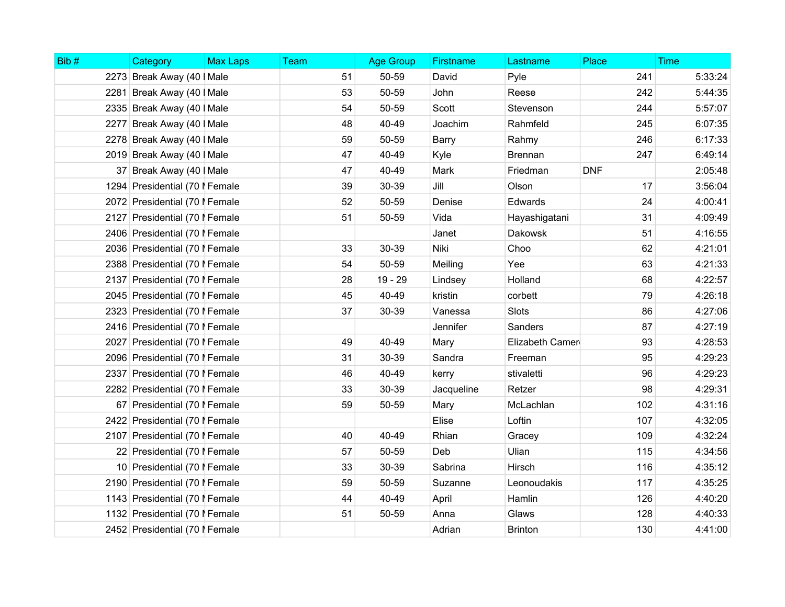| Bib# | Category                       | <b>Max Laps</b> | Team | <b>Age Group</b> | Firstname  | Lastname        | Place      | <b>Time</b> |
|------|--------------------------------|-----------------|------|------------------|------------|-----------------|------------|-------------|
|      | 2273 Break Away (40   Male     |                 | 51   | 50-59            | David      | Pyle            | 241        | 5:33:24     |
|      | 2281 Break Away (40   Male     |                 | 53   | 50-59            | John       | Reese           | 242        | 5:44:35     |
|      | 2335 Break Away (40   Male     |                 | 54   | 50-59            | Scott      | Stevenson       | 244        | 5:57:07     |
|      | 2277 Break Away (40   Male     |                 | 48   | 40-49            | Joachim    | Rahmfeld        | 245        | 6:07:35     |
|      | 2278 Break Away (40   Male     |                 | 59   | 50-59            | Barry      | Rahmy           | 246        | 6:17:33     |
|      | 2019 Break Away (40   Male     |                 | 47   | 40-49            | Kyle       | <b>Brennan</b>  | 247        | 6:49:14     |
|      | 37 Break Away (40   Male       |                 | 47   | 40-49            | Mark       | Friedman        | <b>DNF</b> | 2:05:48     |
|      | 1294 Presidential (70   Female |                 | 39   | 30-39            | Jill       | Olson           | 17         | 3:56:04     |
|      | 2072 Presidential (70   Female |                 | 52   | 50-59            | Denise     | Edwards         | 24         | 4:00:41     |
|      | 2127 Presidential (70   Female |                 | 51   | 50-59            | Vida       | Hayashigatani   | 31         | 4:09:49     |
|      | 2406 Presidential (70   Female |                 |      |                  | Janet      | <b>Dakowsk</b>  | 51         | 4:16:55     |
|      | 2036 Presidential (70   Female |                 | 33   | 30-39            | Niki       | Choo            | 62         | 4:21:01     |
|      | 2388 Presidential (70   Female |                 | 54   | 50-59            | Meiling    | Yee             | 63         | 4:21:33     |
|      | 2137 Presidential (70   Female |                 | 28   | 19 - 29          | Lindsey    | Holland         | 68         | 4:22:57     |
|      | 2045 Presidential (70   Female |                 | 45   | 40-49            | kristin    | corbett         | 79         | 4:26:18     |
|      | 2323 Presidential (70   Female |                 | 37   | 30-39            | Vanessa    | Slots           | 86         | 4:27:06     |
|      | 2416 Presidential (70   Female |                 |      |                  | Jennifer   | Sanders         | 87         | 4:27:19     |
|      | 2027 Presidential (70   Female |                 | 49   | 40-49            | Mary       | Elizabeth Camer | 93         | 4:28:53     |
|      | 2096 Presidential (70   Female |                 | 31   | 30-39            | Sandra     | Freeman         | 95         | 4:29:23     |
|      | 2337 Presidential (70   Female |                 | 46   | 40-49            | kerry      | stivaletti      | 96         | 4:29:23     |
|      | 2282 Presidential (70   Female |                 | 33   | 30-39            | Jacqueline | Retzer          | 98         | 4:29:31     |
|      | 67 Presidential (70   Female   |                 | 59   | 50-59            | Mary       | McLachlan       | 102        | 4:31:16     |
|      | 2422 Presidential (70   Female |                 |      |                  | Elise      | Loftin          | 107        | 4:32:05     |
|      | 2107 Presidential (70   Female |                 | 40   | 40-49            | Rhian      | Gracey          | 109        | 4:32:24     |
|      | 22 Presidential (70   Female   |                 | 57   | 50-59            | Deb        | Ulian           | 115        | 4:34:56     |
|      | 10 Presidential (70   Female   |                 | 33   | 30-39            | Sabrina    | Hirsch          | 116        | 4:35:12     |
|      | 2190 Presidential (70   Female |                 | 59   | 50-59            | Suzanne    | Leonoudakis     | 117        | 4:35:25     |
|      | 1143 Presidential (70   Female |                 | 44   | 40-49            | April      | Hamlin          | 126        | 4:40:20     |
|      | 1132 Presidential (70   Female |                 | 51   | 50-59            | Anna       | Glaws           | 128        | 4:40:33     |
|      | 2452 Presidential (70   Female |                 |      |                  | Adrian     | <b>Brinton</b>  | 130        | 4:41:00     |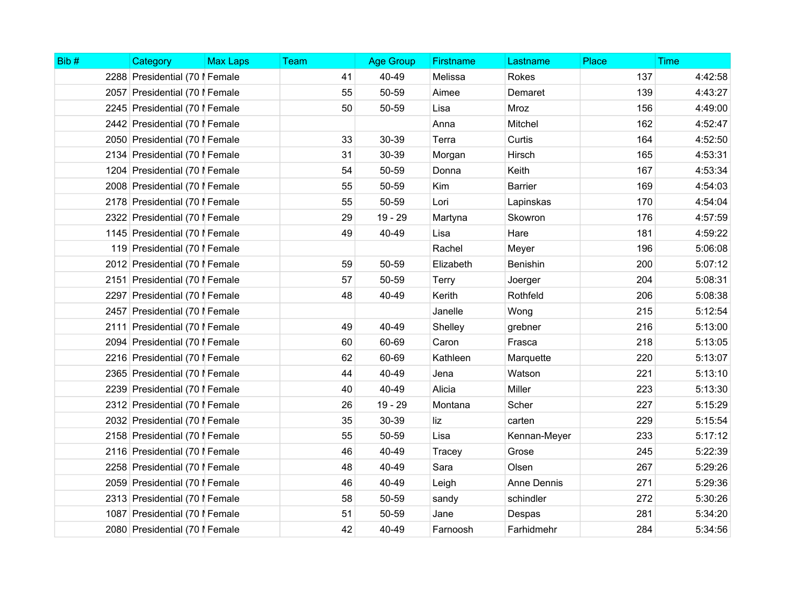| Bib# | Category                       | <b>Max Laps</b> | <b>Team</b> | <b>Age Group</b> | <b>Firstname</b> | Lastname       | Place | <b>Time</b> |
|------|--------------------------------|-----------------|-------------|------------------|------------------|----------------|-------|-------------|
|      | 2288 Presidential (70   Female |                 | 41          | 40-49            | Melissa          | <b>Rokes</b>   | 137   | 4:42:58     |
|      | 2057 Presidential (70   Female |                 | 55          | 50-59            | Aimee            | Demaret        | 139   | 4:43:27     |
|      | 2245 Presidential (70   Female |                 | 50          | 50-59            | Lisa             | Mroz           | 156   | 4:49:00     |
|      | 2442 Presidential (70   Female |                 |             |                  | Anna             | Mitchel        | 162   | 4:52:47     |
|      | 2050 Presidential (70   Female |                 | 33          | 30-39            | Terra            | Curtis         | 164   | 4:52:50     |
|      | 2134 Presidential (70   Female |                 | 31          | 30-39            | Morgan           | Hirsch         | 165   | 4:53:31     |
|      | 1204 Presidential (70   Female |                 | 54          | 50-59            | Donna            | Keith          | 167   | 4:53:34     |
|      | 2008 Presidential (70   Female |                 | 55          | 50-59            | Kim              | <b>Barrier</b> | 169   | 4:54:03     |
|      | 2178 Presidential (70   Female |                 | 55          | 50-59            | Lori             | Lapinskas      | 170   | 4:54:04     |
|      | 2322 Presidential (70   Female |                 | 29          | $19 - 29$        | Martyna          | Skowron        | 176   | 4:57:59     |
|      | 1145 Presidential (70   Female |                 | 49          | 40-49            | Lisa             | Hare           | 181   | 4:59:22     |
|      | 119 Presidential (70   Female  |                 |             |                  | Rachel           | Meyer          | 196   | 5:06:08     |
|      | 2012 Presidential (70   Female |                 | 59          | 50-59            | Elizabeth        | Benishin       | 200   | 5:07:12     |
|      | 2151 Presidential (70   Female |                 | 57          | 50-59            | <b>Terry</b>     | Joerger        | 204   | 5:08:31     |
|      | 2297 Presidential (70   Female |                 | 48          | 40-49            | Kerith           | Rothfeld       | 206   | 5:08:38     |
|      | 2457 Presidential (70   Female |                 |             |                  | Janelle          | Wong           | 215   | 5:12:54     |
|      | 2111 Presidential (70   Female |                 | 49          | 40-49            | Shelley          | grebner        | 216   | 5:13:00     |
|      | 2094 Presidential (70   Female |                 | 60          | 60-69            | Caron            | Frasca         | 218   | 5:13:05     |
|      | 2216 Presidential (70   Female |                 | 62          | 60-69            | Kathleen         | Marquette      | 220   | 5:13:07     |
|      | 2365 Presidential (70   Female |                 | 44          | 40-49            | Jena             | Watson         | 221   | 5:13:10     |
|      | 2239 Presidential (70   Female |                 | 40          | 40-49            | Alicia           | Miller         | 223   | 5:13:30     |
|      | 2312 Presidential (70   Female |                 | 26          | 19 - 29          | Montana          | Scher          | 227   | 5:15:29     |
|      | 2032 Presidential (70   Female |                 | 35          | 30-39            | liz              | carten         | 229   | 5:15:54     |
|      | 2158 Presidential (70   Female |                 | 55          | 50-59            | Lisa             | Kennan-Meyer   | 233   | 5:17:12     |
|      | 2116 Presidential (70   Female |                 | 46          | 40-49            | Tracey           | Grose          | 245   | 5:22:39     |
|      | 2258 Presidential (70   Female |                 | 48          | 40-49            | Sara             | Olsen          | 267   | 5:29:26     |
|      | 2059 Presidential (70   Female |                 | 46          | 40-49            | Leigh            | Anne Dennis    | 271   | 5:29:36     |
|      | 2313 Presidential (70   Female |                 | 58          | 50-59            | sandy            | schindler      | 272   | 5:30:26     |
|      | 1087 Presidential (70   Female |                 | 51          | 50-59            | Jane             | Despas         | 281   | 5:34:20     |
|      | 2080 Presidential (70   Female |                 | 42          | 40-49            | Farnoosh         | Farhidmehr     | 284   | 5:34:56     |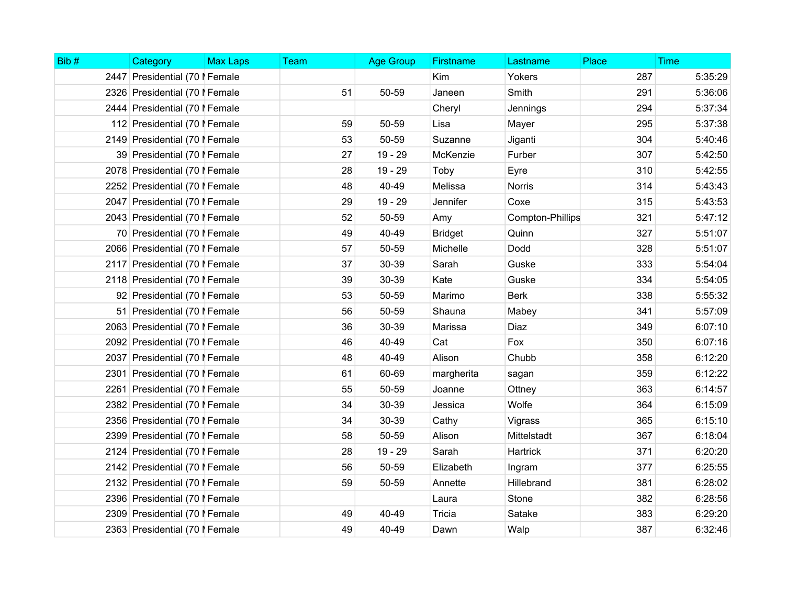| Bib# | Category                       | <b>Max Laps</b> | <b>Team</b> | <b>Age Group</b> | <b>Firstname</b> | Lastname         | Place | <b>Time</b> |
|------|--------------------------------|-----------------|-------------|------------------|------------------|------------------|-------|-------------|
|      | 2447 Presidential (70   Female |                 |             |                  | Kim              | Yokers           | 287   | 5:35:29     |
|      | 2326 Presidential (70   Female |                 | 51          | 50-59            | Janeen           | Smith            | 291   | 5:36:06     |
|      | 2444 Presidential (70   Female |                 |             |                  | Cheryl           | Jennings         | 294   | 5:37:34     |
|      | 112 Presidential (70   Female  |                 | 59          | 50-59            | Lisa             | Mayer            | 295   | 5:37:38     |
|      | 2149 Presidential (70   Female |                 | 53          | 50-59            | Suzanne          | Jiganti          | 304   | 5:40:46     |
|      | 39 Presidential (70   Female   |                 | 27          | 19 - 29          | McKenzie         | Furber           | 307   | 5:42:50     |
|      | 2078 Presidential (70   Female |                 | 28          | $19 - 29$        | Toby             | Eyre             | 310   | 5:42:55     |
|      | 2252 Presidential (70   Female |                 | 48          | 40-49            | Melissa          | <b>Norris</b>    | 314   | 5:43:43     |
|      | 2047 Presidential (70   Female |                 | 29          | 19 - 29          | Jennifer         | Coxe             | 315   | 5:43:53     |
|      | 2043 Presidential (70   Female |                 | 52          | 50-59            | Amy              | Compton-Phillips | 321   | 5:47:12     |
|      | 70 Presidential (70   Female   |                 | 49          | 40-49            | <b>Bridget</b>   | Quinn            | 327   | 5:51:07     |
|      | 2066 Presidential (70   Female |                 | 57          | 50-59            | Michelle         | Dodd             | 328   | 5:51:07     |
|      | 2117 Presidential (70   Female |                 | 37          | 30-39            | Sarah            | Guske            | 333   | 5:54:04     |
|      | 2118 Presidential (70   Female |                 | 39          | 30-39            | Kate             | Guske            | 334   | 5:54:05     |
|      | 92 Presidential (70   Female   |                 | 53          | 50-59            | Marimo           | <b>Berk</b>      | 338   | 5:55:32     |
|      | 51 Presidential (70   Female   |                 | 56          | 50-59            | Shauna           | Mabey            | 341   | 5:57:09     |
|      | 2063 Presidential (70   Female |                 | 36          | 30-39            | Marissa          | Diaz             | 349   | 6:07:10     |
|      | 2092 Presidential (70   Female |                 | 46          | 40-49            | Cat              | Fox              | 350   | 6:07:16     |
|      | 2037 Presidential (70   Female |                 | 48          | 40-49            | Alison           | Chubb            | 358   | 6:12:20     |
|      | 2301 Presidential (70   Female |                 | 61          | 60-69            | margherita       | sagan            | 359   | 6:12:22     |
|      | 2261 Presidential (70   Female |                 | 55          | 50-59            | Joanne           | Ottney           | 363   | 6:14:57     |
|      | 2382 Presidential (70   Female |                 | 34          | 30-39            | Jessica          | Wolfe            | 364   | 6:15:09     |
|      | 2356 Presidential (70   Female |                 | 34          | 30-39            | Cathy            | Vigrass          | 365   | 6:15:10     |
|      | 2399 Presidential (70   Female |                 | 58          | 50-59            | Alison           | Mittelstadt      | 367   | 6:18:04     |
|      | 2124 Presidential (70   Female |                 | 28          | $19 - 29$        | Sarah            | Hartrick         | 371   | 6:20:20     |
|      | 2142 Presidential (70   Female |                 | 56          | 50-59            | Elizabeth        | Ingram           | 377   | 6:25:55     |
|      | 2132 Presidential (70   Female |                 | 59          | 50-59            | Annette          | Hillebrand       | 381   | 6:28:02     |
|      | 2396 Presidential (70   Female |                 |             |                  | Laura            | Stone            | 382   | 6:28:56     |
|      | 2309 Presidential (70   Female |                 | 49          | 40-49            | Tricia           | Satake           | 383   | 6:29:20     |
|      | 2363 Presidential (70   Female |                 | 49          | 40-49            | Dawn             | Walp             | 387   | 6:32:46     |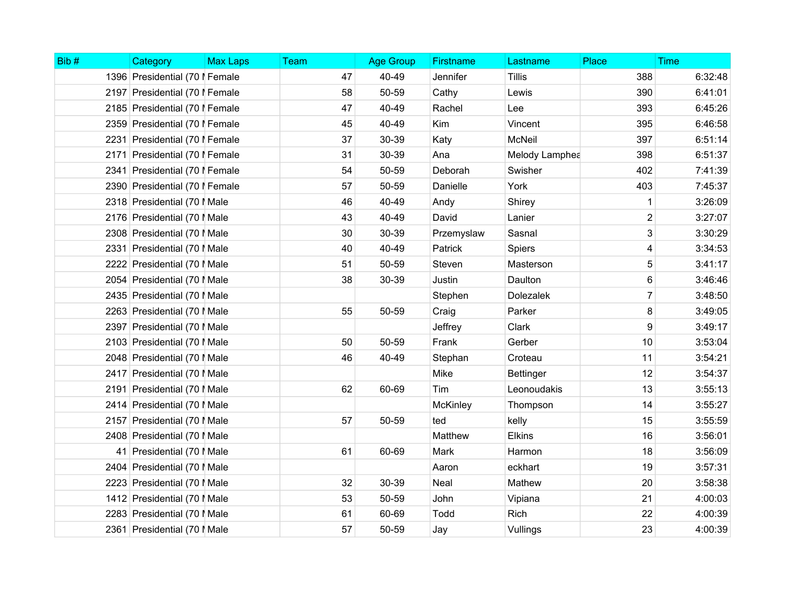| Bib# | Category                       | <b>Max Laps</b> | Team | <b>Age Group</b> | Firstname       | Lastname         | Place          | <b>Time</b> |
|------|--------------------------------|-----------------|------|------------------|-----------------|------------------|----------------|-------------|
|      | 1396 Presidential (70   Female |                 | 47   | 40-49            | Jennifer        | <b>Tillis</b>    | 388            | 6:32:48     |
|      | 2197 Presidential (70   Female |                 | 58   | 50-59            | Cathy           | Lewis            | 390            | 6:41:01     |
|      | 2185 Presidential (70   Female |                 | 47   | 40-49            | Rachel          | Lee              | 393            | 6:45:26     |
|      | 2359 Presidential (70   Female |                 | 45   | 40-49            | Kim             | Vincent          | 395            | 6:46:58     |
|      | 2231 Presidential (70   Female |                 | 37   | 30-39            | Katy            | <b>McNeil</b>    | 397            | 6:51:14     |
|      | 2171 Presidential (70   Female |                 | 31   | 30-39            | Ana             | Melody Lamphea   | 398            | 6:51:37     |
|      | 2341 Presidential (70   Female |                 | 54   | 50-59            | Deborah         | Swisher          | 402            | 7:41:39     |
|      | 2390 Presidential (70   Female |                 | 57   | 50-59            | Danielle        | York             | 403            | 7:45:37     |
|      | 2318 Presidential (70   Male   |                 | 46   | 40-49            | Andy            | Shirey           | 1              | 3:26:09     |
|      | 2176 Presidential (70   Male   |                 | 43   | 40-49            | David           | Lanier           | $\overline{2}$ | 3:27:07     |
|      | 2308 Presidential (70   Male   |                 | 30   | 30-39            | Przemyslaw      | Sasnal           | 3              | 3:30:29     |
|      | 2331 Presidential (70   Male   |                 | 40   | 40-49            | Patrick         | <b>Spiers</b>    | 4              | 3:34:53     |
|      | 2222 Presidential (70   Male   |                 | 51   | 50-59            | Steven          | Masterson        | 5              | 3:41:17     |
|      | 2054 Presidential (70   Male   |                 | 38   | 30-39            | Justin          | Daulton          | 6              | 3:46:46     |
|      | 2435 Presidential (70   Male   |                 |      |                  | Stephen         | <b>Dolezalek</b> | $\overline{7}$ | 3:48:50     |
|      | 2263 Presidential (70   Male   |                 | 55   | 50-59            | Craig           | Parker           | 8              | 3:49:05     |
|      | 2397 Presidential (70   Male   |                 |      |                  | Jeffrey         | Clark            | 9              | 3:49:17     |
|      | 2103 Presidential (70   Male   |                 | 50   | 50-59            | Frank           | Gerber           | 10             | 3:53:04     |
|      | 2048 Presidential (70   Male   |                 | 46   | 40-49            | Stephan         | Croteau          | 11             | 3:54:21     |
|      | 2417 Presidential (70   Male   |                 |      |                  | Mike            | <b>Bettinger</b> | 12             | 3:54:37     |
|      | 2191 Presidential (70   Male   |                 | 62   | 60-69            | Tim             | Leonoudakis      | 13             | 3:55:13     |
|      | 2414 Presidential (70   Male   |                 |      |                  | <b>McKinley</b> | Thompson         | 14             | 3:55:27     |
|      | 2157 Presidential (70   Male   |                 | 57   | 50-59            | ted             | kelly            | 15             | 3:55:59     |
|      | 2408 Presidential (70   Male   |                 |      |                  | Matthew         | <b>Elkins</b>    | 16             | 3:56:01     |
|      | 41 Presidential (70   Male     |                 | 61   | 60-69            | Mark            | Harmon           | 18             | 3:56:09     |
|      | 2404 Presidential (70   Male   |                 |      |                  | Aaron           | eckhart          | 19             | 3:57:31     |
|      | 2223 Presidential (70   Male   |                 | 32   | 30-39            | Neal            | Mathew           | 20             | 3:58:38     |
|      | 1412 Presidential (70   Male   |                 | 53   | 50-59            | John            | Vipiana          | 21             | 4:00:03     |
|      | 2283 Presidential (70   Male   |                 | 61   | 60-69            | Todd            | <b>Rich</b>      | 22             | 4:00:39     |
|      | 2361 Presidential (70   Male   |                 | 57   | 50-59            | Jay             | Vullings         | 23             | 4:00:39     |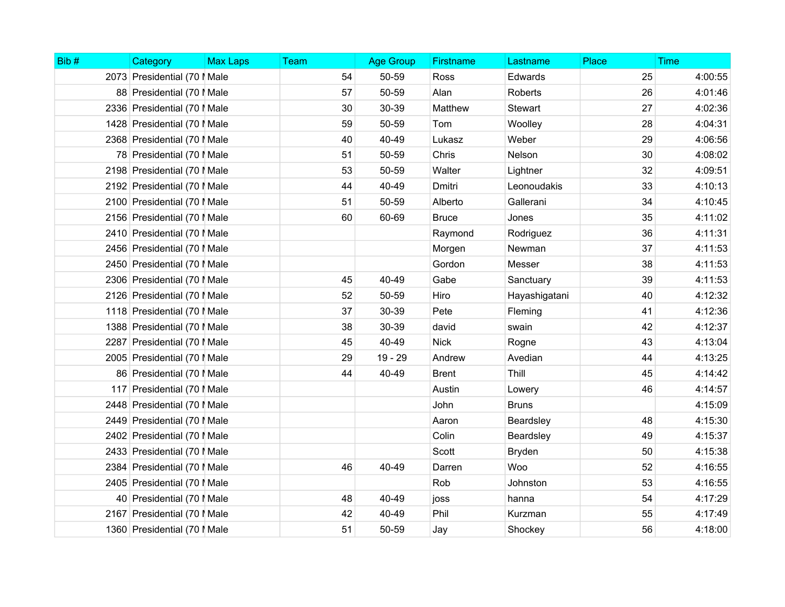| Bib# | Category                     | <b>Max Laps</b> | Team | <b>Age Group</b> | Firstname     | Lastname       | Place | <b>Time</b> |
|------|------------------------------|-----------------|------|------------------|---------------|----------------|-------|-------------|
|      | 2073 Presidential (70   Male |                 | 54   | 50-59            | Ross          | Edwards        | 25    | 4:00:55     |
|      | 88 Presidential (70   Male   |                 | 57   | 50-59            | Alan          | Roberts        | 26    | 4:01:46     |
|      | 2336 Presidential (70   Male |                 | 30   | 30-39            | Matthew       | <b>Stewart</b> | 27    | 4:02:36     |
|      | 1428 Presidential (70   Male |                 | 59   | 50-59            | Tom           | Woolley        | 28    | 4:04:31     |
|      | 2368 Presidential (70   Male |                 | 40   | 40-49            | Lukasz        | Weber          | 29    | 4:06:56     |
|      | 78 Presidential (70   Male   |                 | 51   | 50-59            | Chris         | Nelson         | 30    | 4:08:02     |
|      | 2198 Presidential (70   Male |                 | 53   | 50-59            | Walter        | Lightner       | 32    | 4:09:51     |
|      | 2192 Presidential (70   Male |                 | 44   | 40-49            | <b>Dmitri</b> | Leonoudakis    | 33    | 4:10:13     |
|      | 2100 Presidential (70   Male |                 | 51   | 50-59            | Alberto       | Gallerani      | 34    | 4:10:45     |
|      | 2156 Presidential (70   Male |                 | 60   | 60-69            | <b>Bruce</b>  | Jones          | 35    | 4:11:02     |
|      | 2410 Presidential (70   Male |                 |      |                  | Raymond       | Rodriguez      | 36    | 4:11:31     |
|      | 2456 Presidential (70   Male |                 |      |                  | Morgen        | Newman         | 37    | 4:11:53     |
|      | 2450 Presidential (70   Male |                 |      |                  | Gordon        | Messer         | 38    | 4:11:53     |
|      | 2306 Presidential (70   Male |                 | 45   | 40-49            | Gabe          | Sanctuary      | 39    | 4:11:53     |
|      | 2126 Presidential (70   Male |                 | 52   | 50-59            | Hiro          | Hayashigatani  | 40    | 4:12:32     |
|      | 1118 Presidential (70   Male |                 | 37   | 30-39            | Pete          | Fleming        | 41    | 4:12:36     |
|      | 1388 Presidential (70   Male |                 | 38   | 30-39            | david         | swain          | 42    | 4:12:37     |
|      | 2287 Presidential (70   Male |                 | 45   | 40-49            | <b>Nick</b>   | Rogne          | 43    | 4:13:04     |
|      | 2005 Presidential (70   Male |                 | 29   | $19 - 29$        | Andrew        | Avedian        | 44    | 4:13:25     |
|      | 86 Presidential (70   Male   |                 | 44   | 40-49            | <b>Brent</b>  | Thill          | 45    | 4:14:42     |
|      | 117 Presidential (70   Male  |                 |      |                  | Austin        | Lowery         | 46    | 4:14:57     |
|      | 2448 Presidential (70   Male |                 |      |                  | John          | <b>Bruns</b>   |       | 4:15:09     |
|      | 2449 Presidential (70   Male |                 |      |                  | Aaron         | Beardsley      | 48    | 4:15:30     |
|      | 2402 Presidential (70   Male |                 |      |                  | Colin         | Beardsley      | 49    | 4:15:37     |
|      | 2433 Presidential (70   Male |                 |      |                  | Scott         | <b>Bryden</b>  | 50    | 4:15:38     |
|      | 2384 Presidential (70   Male |                 | 46   | 40-49            | Darren        | Woo            | 52    | 4:16:55     |
|      | 2405 Presidential (70   Male |                 |      |                  | Rob           | Johnston       | 53    | 4:16:55     |
|      | 40 Presidential (70   Male   |                 | 48   | 40-49            | joss          | hanna          | 54    | 4:17:29     |
|      | 2167 Presidential (70   Male |                 | 42   | 40-49            | Phil          | Kurzman        | 55    | 4:17:49     |
|      | 1360 Presidential (70   Male |                 | 51   | 50-59            | Jay           | Shockey        | 56    | 4:18:00     |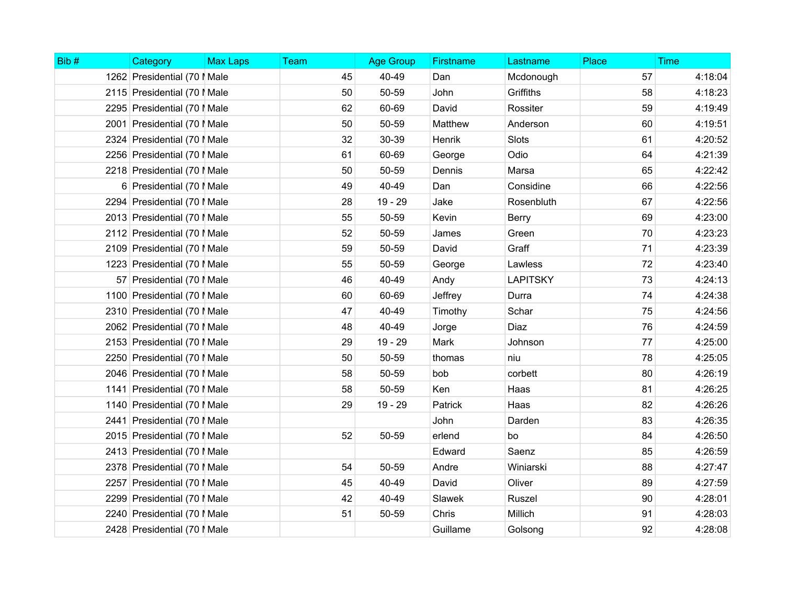| Bib# | Category                     | <b>Max Laps</b> | Team | <b>Age Group</b> | <b>Firstname</b> | Lastname        | Place | <b>Time</b> |
|------|------------------------------|-----------------|------|------------------|------------------|-----------------|-------|-------------|
|      | 1262 Presidential (70   Male |                 | 45   | 40-49            | Dan              | Mcdonough       | 57    | 4:18:04     |
|      | 2115 Presidential (70   Male |                 | 50   | 50-59            | John             | Griffiths       | 58    | 4:18:23     |
|      | 2295 Presidential (70   Male |                 | 62   | 60-69            | David            | Rossiter        | 59    | 4:19:49     |
|      | 2001 Presidential (70   Male |                 | 50   | 50-59            | Matthew          | Anderson        | 60    | 4:19:51     |
|      | 2324 Presidential (70   Male |                 | 32   | 30-39            | Henrik           | <b>Slots</b>    | 61    | 4:20:52     |
|      | 2256 Presidential (70   Male |                 | 61   | 60-69            | George           | Odio            | 64    | 4:21:39     |
|      | 2218 Presidential (70   Male |                 | 50   | 50-59            | Dennis           | Marsa           | 65    | 4:22:42     |
|      | 6 Presidential (70   Male    |                 | 49   | 40-49            | Dan              | Considine       | 66    | 4:22:56     |
|      | 2294 Presidential (70   Male |                 | 28   | 19 - 29          | Jake             | Rosenbluth      | 67    | 4:22:56     |
|      | 2013 Presidential (70   Male |                 | 55   | 50-59            | Kevin            | Berry           | 69    | 4:23:00     |
|      | 2112 Presidential (70   Male |                 | 52   | 50-59            | James            | Green           | 70    | 4:23:23     |
|      | 2109 Presidential (70   Male |                 | 59   | 50-59            | David            | Graff           | 71    | 4:23:39     |
|      | 1223 Presidential (70   Male |                 | 55   | 50-59            | George           | Lawless         | 72    | 4:23:40     |
|      | 57 Presidential (70   Male   |                 | 46   | 40-49            | Andy             | <b>LAPITSKY</b> | 73    | 4:24:13     |
|      | 1100 Presidential (70   Male |                 | 60   | 60-69            | Jeffrey          | Durra           | 74    | 4:24:38     |
|      | 2310 Presidential (70   Male |                 | 47   | 40-49            | Timothy          | Schar           | 75    | 4:24:56     |
|      | 2062 Presidential (70   Male |                 | 48   | 40-49            | Jorge            | Diaz            | 76    | 4:24:59     |
|      | 2153 Presidential (70   Male |                 | 29   | 19 - 29          | Mark             | Johnson         | 77    | 4:25:00     |
|      | 2250 Presidential (70   Male |                 | 50   | 50-59            | thomas           | niu             | 78    | 4:25:05     |
|      | 2046 Presidential (70   Male |                 | 58   | 50-59            | bob              | corbett         | 80    | 4:26:19     |
|      | 1141 Presidential (70   Male |                 | 58   | 50-59            | Ken              | Haas            | 81    | 4:26:25     |
|      | 1140 Presidential (70   Male |                 | 29   | 19 - 29          | Patrick          | Haas            | 82    | 4:26:26     |
|      | 2441 Presidential (70   Male |                 |      |                  | John             | Darden          | 83    | 4:26:35     |
|      | 2015 Presidential (70   Male |                 | 52   | 50-59            | erlend           | bo              | 84    | 4:26:50     |
|      | 2413 Presidential (70   Male |                 |      |                  | Edward           | Saenz           | 85    | 4:26:59     |
|      | 2378 Presidential (70   Male |                 | 54   | 50-59            | Andre            | Winiarski       | 88    | 4:27:47     |
|      | 2257 Presidential (70   Male |                 | 45   | 40-49            | David            | Oliver          | 89    | 4:27:59     |
|      | 2299 Presidential (70   Male |                 | 42   | 40-49            | Slawek           | Ruszel          | 90    | 4:28:01     |
|      | 2240 Presidential (70   Male |                 | 51   | 50-59            | Chris            | Millich         | 91    | 4:28:03     |
|      | 2428 Presidential (70   Male |                 |      |                  | Guillame         | Golsong         | 92    | 4:28:08     |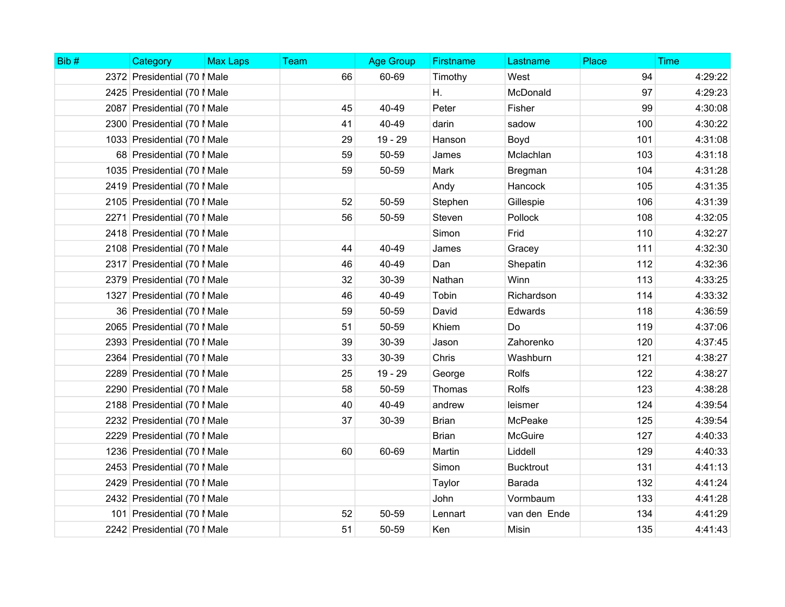| Bib# | Category                     | <b>Max Laps</b> | <b>Team</b> | <b>Age Group</b> | Firstname    | Lastname         | Place | <b>Time</b> |
|------|------------------------------|-----------------|-------------|------------------|--------------|------------------|-------|-------------|
|      | 2372 Presidential (70   Male |                 | 66          | 60-69            | Timothy      | West             | 94    | 4:29:22     |
|      | 2425 Presidential (70   Male |                 |             |                  | Η.           | McDonald         | 97    | 4:29:23     |
|      | 2087 Presidential (70   Male |                 | 45          | 40-49            | Peter        | Fisher           | 99    | 4:30:08     |
|      | 2300 Presidential (70   Male |                 | 41          | 40-49            | darin        | sadow            | 100   | 4:30:22     |
|      | 1033 Presidential (70   Male |                 | 29          | 19 - 29          | Hanson       | Boyd             | 101   | 4:31:08     |
|      | 68 Presidential (70   Male   |                 | 59          | 50-59            | James        | Mclachlan        | 103   | 4:31:18     |
|      | 1035 Presidential (70   Male |                 | 59          | 50-59            | Mark         | Bregman          | 104   | 4:31:28     |
|      | 2419 Presidential (70   Male |                 |             |                  | Andy         | Hancock          | 105   | 4:31:35     |
|      | 2105 Presidential (70   Male |                 | 52          | 50-59            | Stephen      | Gillespie        | 106   | 4:31:39     |
|      | 2271 Presidential (70   Male |                 | 56          | 50-59            | Steven       | Pollock          | 108   | 4:32:05     |
|      | 2418 Presidential (70   Male |                 |             |                  | Simon        | Frid             | 110   | 4:32:27     |
|      | 2108 Presidential (70   Male |                 | 44          | 40-49            | James        | Gracey           | 111   | 4:32:30     |
|      | 2317 Presidential (70   Male |                 | 46          | 40-49            | Dan          | Shepatin         | 112   | 4:32:36     |
|      | 2379 Presidential (70   Male |                 | 32          | 30-39            | Nathan       | Winn             | 113   | 4:33:25     |
|      | 1327 Presidential (70   Male |                 | 46          | 40-49            | Tobin        | Richardson       | 114   | 4:33:32     |
|      | 36 Presidential (70   Male   |                 | 59          | 50-59            | David        | Edwards          | 118   | 4:36:59     |
|      | 2065 Presidential (70   Male |                 | 51          | 50-59            | Khiem        | Do               | 119   | 4:37:06     |
|      | 2393 Presidential (70   Male |                 | 39          | 30-39            | Jason        | Zahorenko        | 120   | 4:37:45     |
|      | 2364 Presidential (70   Male |                 | 33          | 30-39            | Chris        | Washburn         | 121   | 4:38:27     |
|      | 2289 Presidential (70   Male |                 | 25          | 19 - 29          | George       | Rolfs            | 122   | 4:38:27     |
|      | 2290 Presidential (70   Male |                 | 58          | 50-59            | Thomas       | <b>Rolfs</b>     | 123   | 4:38:28     |
|      | 2188 Presidential (70   Male |                 | 40          | 40-49            | andrew       | leismer          | 124   | 4:39:54     |
|      | 2232 Presidential (70   Male |                 | 37          | 30-39            | <b>Brian</b> | McPeake          | 125   | 4:39:54     |
|      | 2229 Presidential (70   Male |                 |             |                  | <b>Brian</b> | <b>McGuire</b>   | 127   | 4:40:33     |
|      | 1236 Presidential (70   Male |                 | 60          | 60-69            | Martin       | Liddell          | 129   | 4:40:33     |
|      | 2453 Presidential (70   Male |                 |             |                  | Simon        | <b>Bucktrout</b> | 131   | 4:41:13     |
|      | 2429 Presidential (70   Male |                 |             |                  | Taylor       | Barada           | 132   | 4:41:24     |
|      | 2432 Presidential (70   Male |                 |             |                  | John         | Vormbaum         | 133   | 4:41:28     |
|      | 101 Presidential (70   Male  |                 | 52          | 50-59            | Lennart      | van den Ende     | 134   | 4:41:29     |
|      | 2242 Presidential (70   Male |                 | 51          | 50-59            | Ken          | Misin            | 135   | 4:41:43     |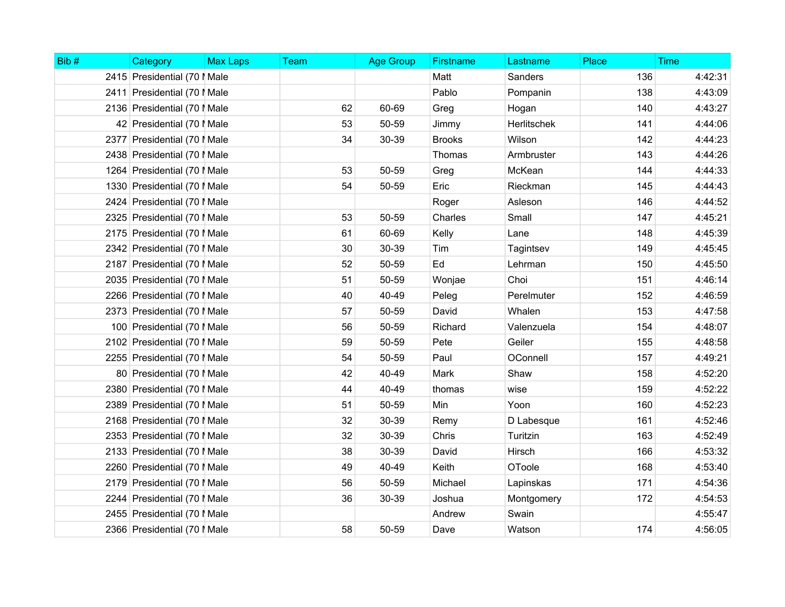| Bib# | Category                     | <b>Max Laps</b> | <b>Team</b> | <b>Age Group</b> | Firstname     | Lastname           | Place | <b>Time</b> |
|------|------------------------------|-----------------|-------------|------------------|---------------|--------------------|-------|-------------|
|      | 2415 Presidential (70   Male |                 |             |                  | Matt          | Sanders            | 136   | 4:42:31     |
|      | 2411 Presidential (70   Male |                 |             |                  | Pablo         | Pompanin           | 138   | 4:43:09     |
|      | 2136 Presidential (70   Male |                 | 62          | 60-69            | Greg          | Hogan              | 140   | 4:43:27     |
|      | 42 Presidential (70   Male   |                 | 53          | 50-59            | Jimmy         | <b>Herlitschek</b> | 141   | 4:44:06     |
|      | 2377 Presidential (70   Male |                 | 34          | 30-39            | <b>Brooks</b> | Wilson             | 142   | 4:44:23     |
|      | 2438 Presidential (70   Male |                 |             |                  | Thomas        | Armbruster         | 143   | 4:44:26     |
|      | 1264 Presidential (70   Male |                 | 53          | 50-59            | Greg          | McKean             | 144   | 4:44:33     |
|      | 1330 Presidential (70   Male |                 | 54          | 50-59            | Eric          | Rieckman           | 145   | 4:44:43     |
|      | 2424 Presidential (70   Male |                 |             |                  | Roger         | Asleson            | 146   | 4:44:52     |
|      | 2325 Presidential (70   Male |                 | 53          | 50-59            | Charles       | Small              | 147   | 4:45:21     |
|      | 2175 Presidential (70   Male |                 | 61          | 60-69            | Kelly         | Lane               | 148   | 4:45:39     |
|      | 2342 Presidential (70   Male |                 | 30          | 30-39            | Tim           | Tagintsev          | 149   | 4:45:45     |
|      | 2187 Presidential (70   Male |                 | 52          | 50-59            | Ed            | Lehrman            | 150   | 4:45:50     |
|      | 2035 Presidential (70   Male |                 | 51          | 50-59            | Wonjae        | Choi               | 151   | 4:46:14     |
|      | 2266 Presidential (70   Male |                 | 40          | 40-49            | Peleg         | Perelmuter         | 152   | 4:46:59     |
|      | 2373 Presidential (70   Male |                 | 57          | 50-59            | David         | Whalen             | 153   | 4:47:58     |
|      | 100 Presidential (70   Male  |                 | 56          | 50-59            | Richard       | Valenzuela         | 154   | 4:48:07     |
|      | 2102 Presidential (70   Male |                 | 59          | 50-59            | Pete          | Geiler             | 155   | 4:48:58     |
|      | 2255 Presidential (70   Male |                 | 54          | 50-59            | Paul          | OConnell           | 157   | 4:49:21     |
|      | 80 Presidential (70   Male   |                 | 42          | 40-49            | Mark          | Shaw               | 158   | 4:52:20     |
|      | 2380 Presidential (70   Male |                 | 44          | 40-49            | thomas        | wise               | 159   | 4:52:22     |
|      | 2389 Presidential (70   Male |                 | 51          | 50-59            | Min           | Yoon               | 160   | 4:52:23     |
|      | 2168 Presidential (70   Male |                 | 32          | 30-39            | Remy          | D Labesque         | 161   | 4:52:46     |
|      | 2353 Presidential (70   Male |                 | 32          | 30-39            | Chris         | Turitzin           | 163   | 4:52:49     |
|      | 2133 Presidential (70   Male |                 | 38          | 30-39            | David         | Hirsch             | 166   | 4:53:32     |
|      | 2260 Presidential (70   Male |                 | 49          | 40-49            | Keith         | OToole             | 168   | 4:53:40     |
|      | 2179 Presidential (70   Male |                 | 56          | 50-59            | Michael       | Lapinskas          | 171   | 4:54:36     |
|      | 2244 Presidential (70   Male |                 | 36          | 30-39            | Joshua        | Montgomery         | 172   | 4:54:53     |
|      | 2455 Presidential (70   Male |                 |             |                  | Andrew        | Swain              |       | 4:55:47     |
|      | 2366 Presidential (70   Male |                 | 58          | 50-59            | Dave          | Watson             | 174   | 4:56:05     |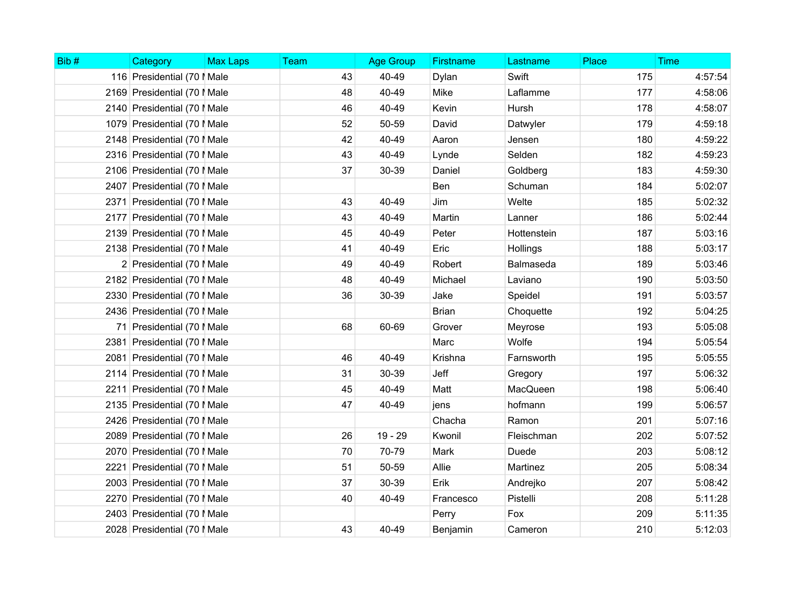| Bib# | Category                     | <b>Max Laps</b> | <b>Team</b> | <b>Age Group</b> | <b>Firstname</b> | Lastname    | Place | <b>Time</b> |
|------|------------------------------|-----------------|-------------|------------------|------------------|-------------|-------|-------------|
|      | 116 Presidential (70   Male  |                 | 43          | 40-49            | Dylan            | Swift       | 175   | 4:57:54     |
|      | 2169 Presidential (70   Male |                 | 48          | 40-49            | Mike             | Laflamme    | 177   | 4:58:06     |
|      | 2140 Presidential (70   Male |                 | 46          | 40-49            | Kevin            | Hursh       | 178   | 4:58:07     |
|      | 1079 Presidential (70   Male |                 | 52          | 50-59            | David            | Datwyler    | 179   | 4:59:18     |
|      | 2148 Presidential (70   Male |                 | 42          | 40-49            | Aaron            | Jensen      | 180   | 4:59:22     |
|      | 2316 Presidential (70   Male |                 | 43          | 40-49            | Lynde            | Selden      | 182   | 4:59:23     |
|      | 2106 Presidential (70   Male |                 | 37          | 30-39            | Daniel           | Goldberg    | 183   | 4:59:30     |
|      | 2407 Presidential (70   Male |                 |             |                  | Ben              | Schuman     | 184   | 5:02:07     |
|      | 2371 Presidential (70   Male |                 | 43          | 40-49            | Jim              | Welte       | 185   | 5:02:32     |
|      | 2177 Presidential (70   Male |                 | 43          | 40-49            | Martin           | Lanner      | 186   | 5:02:44     |
|      | 2139 Presidential (70   Male |                 | 45          | 40-49            | Peter            | Hottenstein | 187   | 5:03:16     |
|      | 2138 Presidential (70   Male |                 | 41          | 40-49            | Eric             | Hollings    | 188   | 5:03:17     |
|      | 2 Presidential (70   Male    |                 | 49          | 40-49            | Robert           | Balmaseda   | 189   | 5:03:46     |
|      | 2182 Presidential (70   Male |                 | 48          | 40-49            | Michael          | Laviano     | 190   | 5:03:50     |
|      | 2330 Presidential (70   Male |                 | 36          | 30-39            | Jake             | Speidel     | 191   | 5:03:57     |
|      | 2436 Presidential (70   Male |                 |             |                  | <b>Brian</b>     | Choquette   | 192   | 5:04:25     |
|      | 71 Presidential (70   Male   |                 | 68          | 60-69            | Grover           | Meyrose     | 193   | 5:05:08     |
|      | 2381 Presidential (70   Male |                 |             |                  | Marc             | Wolfe       | 194   | 5:05:54     |
|      | 2081 Presidential (70   Male |                 | 46          | 40-49            | Krishna          | Farnsworth  | 195   | 5:05:55     |
|      | 2114 Presidential (70   Male |                 | 31          | 30-39            | Jeff             | Gregory     | 197   | 5:06:32     |
|      | 2211 Presidential (70   Male |                 | 45          | 40-49            | Matt             | MacQueen    | 198   | 5:06:40     |
|      | 2135 Presidential (70   Male |                 | 47          | 40-49            | jens             | hofmann     | 199   | 5:06:57     |
|      | 2426 Presidential (70   Male |                 |             |                  | Chacha           | Ramon       | 201   | 5:07:16     |
|      | 2089 Presidential (70   Male |                 | 26          | $19 - 29$        | Kwonil           | Fleischman  | 202   | 5:07:52     |
|      | 2070 Presidential (70   Male |                 | 70          | 70-79            | Mark             | Duede       | 203   | 5:08:12     |
|      | 2221 Presidential (70   Male |                 | 51          | 50-59            | Allie            | Martinez    | 205   | 5:08:34     |
|      | 2003 Presidential (70 I Male |                 | 37          | 30-39            | Erik             | Andrejko    | 207   | 5:08:42     |
|      | 2270 Presidential (70   Male |                 | 40          | 40-49            | Francesco        | Pistelli    | 208   | 5:11:28     |
|      | 2403 Presidential (70   Male |                 |             |                  | Perry            | Fox         | 209   | 5:11:35     |
|      | 2028 Presidential (70   Male |                 | 43          | 40-49            | Benjamin         | Cameron     | 210   | 5:12:03     |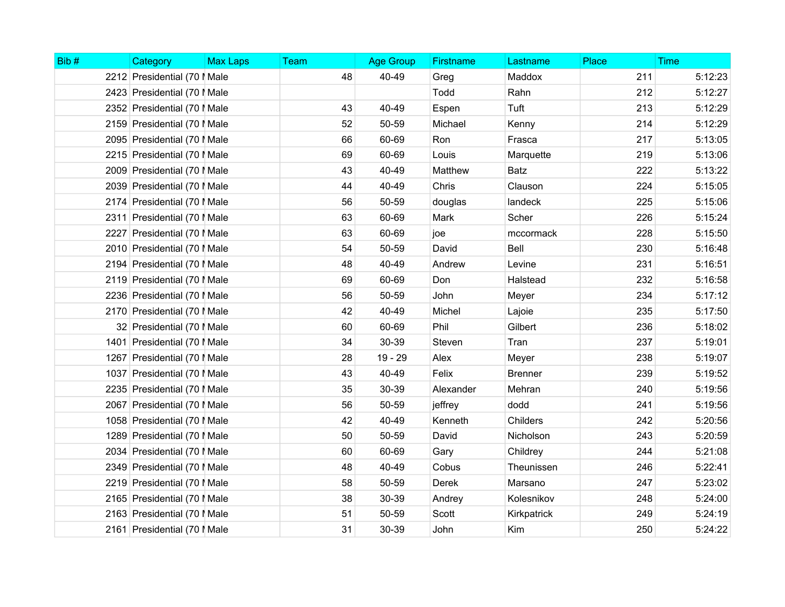| Bib# | Category                     | <b>Max Laps</b> | <b>Team</b> | <b>Age Group</b> | <b>Firstname</b> | Lastname       | Place | <b>Time</b> |
|------|------------------------------|-----------------|-------------|------------------|------------------|----------------|-------|-------------|
|      | 2212 Presidential (70   Male |                 | 48          | 40-49            | Greg             | Maddox         | 211   | 5:12:23     |
|      | 2423 Presidential (70   Male |                 |             |                  | Todd             | Rahn           | 212   | 5:12:27     |
|      | 2352 Presidential (70   Male |                 | 43          | 40-49            | Espen            | Tuft           | 213   | 5:12:29     |
|      | 2159 Presidential (70   Male |                 | 52          | 50-59            | Michael          | Kenny          | 214   | 5:12:29     |
|      | 2095 Presidential (70   Male |                 | 66          | 60-69            | Ron              | Frasca         | 217   | 5:13:05     |
|      | 2215 Presidential (70   Male |                 | 69          | 60-69            | Louis            | Marquette      | 219   | 5:13:06     |
|      | 2009 Presidential (70   Male |                 | 43          | 40-49            | Matthew          | <b>Batz</b>    | 222   | 5:13:22     |
|      | 2039 Presidential (70   Male |                 | 44          | 40-49            | Chris            | Clauson        | 224   | 5:15:05     |
|      | 2174 Presidential (70   Male |                 | 56          | 50-59            | douglas          | landeck        | 225   | 5:15:06     |
|      | 2311 Presidential (70   Male |                 | 63          | 60-69            | Mark             | Scher          | 226   | 5:15:24     |
|      | 2227 Presidential (70   Male |                 | 63          | 60-69            | joe              | mccormack      | 228   | 5:15:50     |
|      | 2010 Presidential (70   Male |                 | 54          | 50-59            | David            | Bell           | 230   | 5:16:48     |
|      | 2194 Presidential (70   Male |                 | 48          | 40-49            | Andrew           | Levine         | 231   | 5:16:51     |
|      | 2119 Presidential (70   Male |                 | 69          | 60-69            | Don              | Halstead       | 232   | 5:16:58     |
|      | 2236 Presidential (70   Male |                 | 56          | 50-59            | John             | Meyer          | 234   | 5:17:12     |
|      | 2170 Presidential (70   Male |                 | 42          | 40-49            | Michel           | Lajoie         | 235   | 5:17:50     |
|      | 32 Presidential (70   Male   |                 | 60          | 60-69            | Phil             | Gilbert        | 236   | 5:18:02     |
|      | 1401 Presidential (70   Male |                 | 34          | 30-39            | Steven           | Tran           | 237   | 5:19:01     |
|      | 1267 Presidential (70   Male |                 | 28          | 19 - 29          | Alex             | Meyer          | 238   | 5:19:07     |
|      | 1037 Presidential (70   Male |                 | 43          | 40-49            | Felix            | <b>Brenner</b> | 239   | 5:19:52     |
|      | 2235 Presidential (70   Male |                 | 35          | 30-39            | Alexander        | Mehran         | 240   | 5:19:56     |
|      | 2067 Presidential (70   Male |                 | 56          | 50-59            | jeffrey          | dodd           | 241   | 5:19:56     |
|      | 1058 Presidential (70   Male |                 | 42          | 40-49            | Kenneth          | Childers       | 242   | 5:20:56     |
|      | 1289 Presidential (70   Male |                 | 50          | 50-59            | David            | Nicholson      | 243   | 5:20:59     |
|      | 2034 Presidential (70   Male |                 | 60          | 60-69            | Gary             | Childrey       | 244   | 5:21:08     |
|      | 2349 Presidential (70   Male |                 | 48          | 40-49            | Cobus            | Theunissen     | 246   | 5:22:41     |
|      | 2219 Presidential (70   Male |                 | 58          | 50-59            | Derek            | Marsano        | 247   | 5:23:02     |
|      | 2165 Presidential (70   Male |                 | 38          | 30-39            | Andrey           | Kolesnikov     | 248   | 5:24:00     |
|      | 2163 Presidential (70   Male |                 | 51          | 50-59            | Scott            | Kirkpatrick    | 249   | 5:24:19     |
|      | 2161 Presidential (70   Male |                 | 31          | 30-39            | John             | Kim            | 250   | 5:24:22     |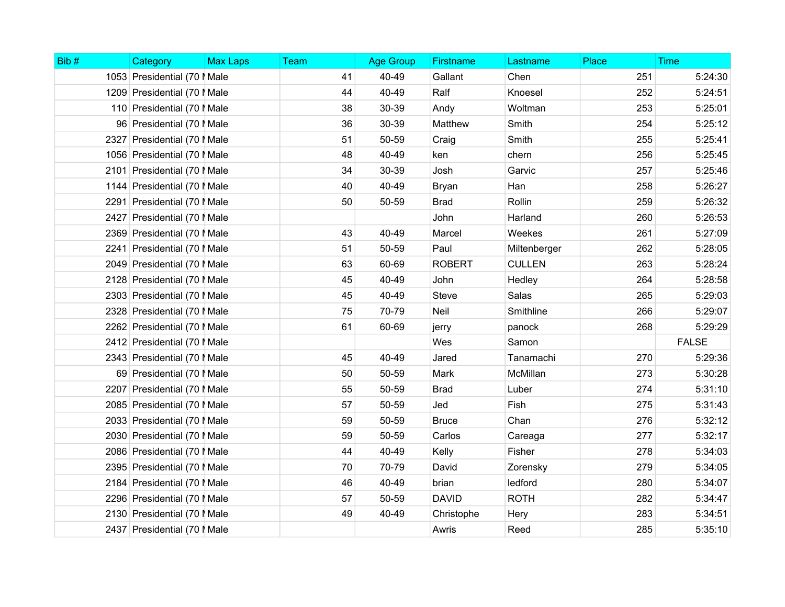| Bib# | Category                     | <b>Max Laps</b> | Team | <b>Age Group</b> | Firstname     | Lastname      | Place | <b>Time</b>  |
|------|------------------------------|-----------------|------|------------------|---------------|---------------|-------|--------------|
|      | 1053 Presidential (70   Male |                 | 41   | 40-49            | Gallant       | Chen          | 251   | 5:24:30      |
|      | 1209 Presidential (70   Male |                 | 44   | 40-49            | Ralf          | Knoesel       | 252   | 5:24:51      |
|      | 110 Presidential (70   Male  |                 | 38   | 30-39            | Andy          | Woltman       | 253   | 5:25:01      |
|      | 96 Presidential (70   Male   |                 | 36   | 30-39            | Matthew       | Smith         | 254   | 5:25:12      |
|      | 2327 Presidential (70   Male |                 | 51   | 50-59            | Craig         | Smith         | 255   | 5:25:41      |
|      | 1056 Presidential (70   Male |                 | 48   | 40-49            | ken           | chern         | 256   | 5:25:45      |
|      | 2101 Presidential (70   Male |                 | 34   | 30-39            | Josh          | Garvic        | 257   | 5:25:46      |
|      | 1144 Presidential (70   Male |                 | 40   | 40-49            | <b>Bryan</b>  | Han           | 258   | 5:26:27      |
|      | 2291 Presidential (70   Male |                 | 50   | 50-59            | <b>Brad</b>   | Rollin        | 259   | 5:26:32      |
|      | 2427 Presidential (70   Male |                 |      |                  | John          | Harland       | 260   | 5:26:53      |
|      | 2369 Presidential (70   Male |                 | 43   | 40-49            | Marcel        | Weekes        | 261   | 5:27:09      |
|      | 2241 Presidential (70   Male |                 | 51   | 50-59            | Paul          | Miltenberger  | 262   | 5:28:05      |
|      | 2049 Presidential (70   Male |                 | 63   | 60-69            | <b>ROBERT</b> | <b>CULLEN</b> | 263   | 5:28:24      |
|      | 2128 Presidential (70   Male |                 | 45   | 40-49            | John          | Hedley        | 264   | 5:28:58      |
|      | 2303 Presidential (70   Male |                 | 45   | 40-49            | <b>Steve</b>  | Salas         | 265   | 5:29:03      |
|      | 2328 Presidential (70   Male |                 | 75   | 70-79            | Neil          | Smithline     | 266   | 5:29:07      |
|      | 2262 Presidential (70   Male |                 | 61   | 60-69            | jerry         | panock        | 268   | 5:29:29      |
|      | 2412 Presidential (70   Male |                 |      |                  | Wes           | Samon         |       | <b>FALSE</b> |
|      | 2343 Presidential (70   Male |                 | 45   | 40-49            | Jared         | Tanamachi     | 270   | 5:29:36      |
|      | 69 Presidential (70   Male   |                 | 50   | 50-59            | Mark          | McMillan      | 273   | 5:30:28      |
|      | 2207 Presidential (70   Male |                 | 55   | 50-59            | <b>Brad</b>   | Luber         | 274   | 5:31:10      |
|      | 2085 Presidential (70   Male |                 | 57   | 50-59            | Jed           | Fish          | 275   | 5:31:43      |
|      | 2033 Presidential (70   Male |                 | 59   | 50-59            | <b>Bruce</b>  | Chan          | 276   | 5:32:12      |
|      | 2030 Presidential (70   Male |                 | 59   | 50-59            | Carlos        | Careaga       | 277   | 5:32:17      |
|      | 2086 Presidential (70   Male |                 | 44   | 40-49            | Kelly         | Fisher        | 278   | 5:34:03      |
|      | 2395 Presidential (70   Male |                 | 70   | 70-79            | David         | Zorensky      | 279   | 5:34:05      |
|      | 2184 Presidential (70   Male |                 | 46   | 40-49            | brian         | ledford       | 280   | 5:34:07      |
|      | 2296 Presidential (70   Male |                 | 57   | 50-59            | <b>DAVID</b>  | <b>ROTH</b>   | 282   | 5:34:47      |
|      | 2130 Presidential (70   Male |                 | 49   | 40-49            | Christophe    | Hery          | 283   | 5:34:51      |
|      | 2437 Presidential (70   Male |                 |      |                  | Awris         | Reed          | 285   | 5:35:10      |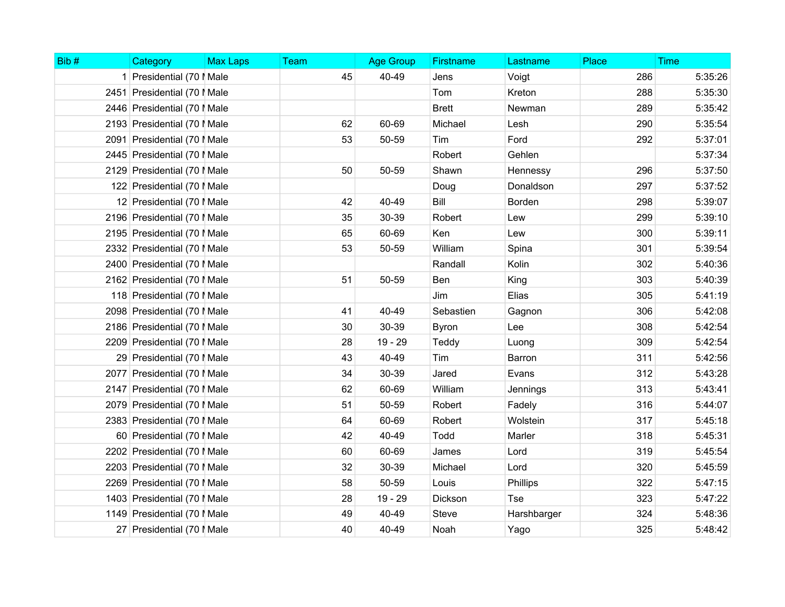| Bib# | Category                     | <b>Max Laps</b> | Team | <b>Age Group</b> | <b>Firstname</b> | Lastname    | Place | <b>Time</b> |
|------|------------------------------|-----------------|------|------------------|------------------|-------------|-------|-------------|
|      | 1 Presidential (70   Male    |                 | 45   | 40-49            | Jens             | Voigt       | 286   | 5:35:26     |
|      | 2451 Presidential (70   Male |                 |      |                  | Tom              | Kreton      | 288   | 5:35:30     |
|      | 2446 Presidential (70   Male |                 |      |                  | <b>Brett</b>     | Newman      | 289   | 5:35:42     |
|      | 2193 Presidential (70   Male |                 | 62   | 60-69            | Michael          | Lesh        | 290   | 5:35:54     |
|      | 2091 Presidential (70   Male |                 | 53   | 50-59            | Tim              | Ford        | 292   | 5:37:01     |
|      | 2445 Presidential (70   Male |                 |      |                  | Robert           | Gehlen      |       | 5:37:34     |
|      | 2129 Presidential (70   Male |                 | 50   | 50-59            | Shawn            | Hennessy    | 296   | 5:37:50     |
|      | 122 Presidential (70   Male  |                 |      |                  | Doug             | Donaldson   | 297   | 5:37:52     |
|      | 12 Presidential (70   Male   |                 | 42   | 40-49            | Bill             | Borden      | 298   | 5:39:07     |
|      | 2196 Presidential (70   Male |                 | 35   | 30-39            | Robert           | Lew         | 299   | 5:39:10     |
|      | 2195 Presidential (70   Male |                 | 65   | 60-69            | Ken              | Lew         | 300   | 5:39:11     |
|      | 2332 Presidential (70   Male |                 | 53   | 50-59            | William          | Spina       | 301   | 5:39:54     |
|      | 2400 Presidential (70   Male |                 |      |                  | Randall          | Kolin       | 302   | 5:40:36     |
|      | 2162 Presidential (70   Male |                 | 51   | 50-59            | Ben              | King        | 303   | 5:40:39     |
|      | 118 Presidential (70   Male  |                 |      |                  | Jim              | Elias       | 305   | 5:41:19     |
|      | 2098 Presidential (70   Male |                 | 41   | 40-49            | Sebastien        | Gagnon      | 306   | 5:42:08     |
|      | 2186 Presidential (70   Male |                 | 30   | 30-39            | <b>Byron</b>     | Lee         | 308   | 5:42:54     |
|      | 2209 Presidential (70   Male |                 | 28   | 19 - 29          | Teddy            | Luong       | 309   | 5:42:54     |
|      | 29 Presidential (70   Male   |                 | 43   | 40-49            | Tim              | Barron      | 311   | 5:42:56     |
|      | 2077 Presidential (70   Male |                 | 34   | 30-39            | Jared            | Evans       | 312   | 5:43:28     |
|      | 2147 Presidential (70   Male |                 | 62   | 60-69            | William          | Jennings    | 313   | 5:43:41     |
|      | 2079 Presidential (70   Male |                 | 51   | 50-59            | Robert           | Fadely      | 316   | 5:44:07     |
|      | 2383 Presidential (70   Male |                 | 64   | 60-69            | Robert           | Wolstein    | 317   | 5:45:18     |
|      | 60 Presidential (70   Male   |                 | 42   | 40-49            | Todd             | Marler      | 318   | 5:45:31     |
|      | 2202 Presidential (70   Male |                 | 60   | 60-69            | James            | Lord        | 319   | 5:45:54     |
|      | 2203 Presidential (70   Male |                 | 32   | 30-39            | Michael          | Lord        | 320   | 5:45:59     |
|      | 2269 Presidential (70   Male |                 | 58   | 50-59            | Louis            | Phillips    | 322   | 5:47:15     |
|      | 1403 Presidential (70   Male |                 | 28   | 19 - 29          | Dickson          | Tse         | 323   | 5:47:22     |
|      | 1149 Presidential (70   Male |                 | 49   | 40-49            | <b>Steve</b>     | Harshbarger | 324   | 5:48:36     |
|      | 27 Presidential (70   Male   |                 | 40   | 40-49            | Noah             | Yago        | 325   | 5:48:42     |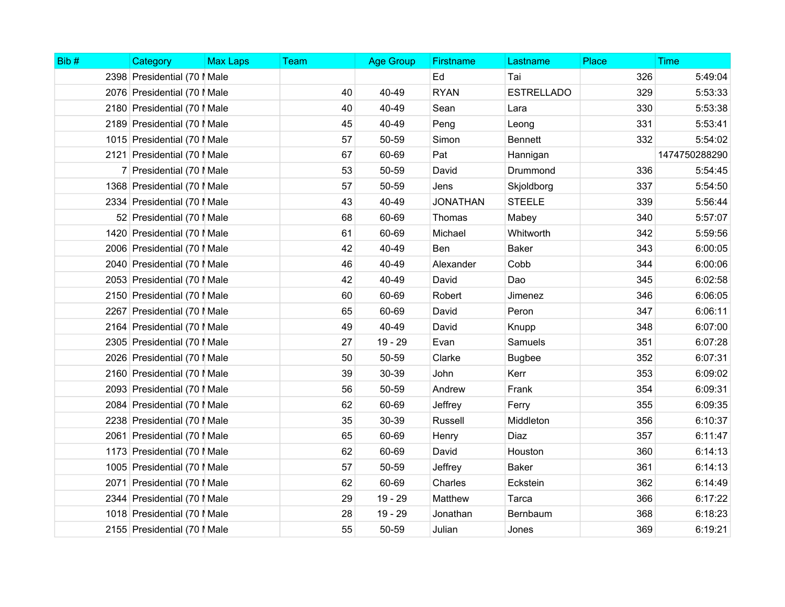| Bib# | Category                     | <b>Max Laps</b> | Team | <b>Age Group</b> | <b>Firstname</b> | Lastname          | Place | <b>Time</b>   |
|------|------------------------------|-----------------|------|------------------|------------------|-------------------|-------|---------------|
|      | 2398 Presidential (70   Male |                 |      |                  | Ed               | Tai               | 326   | 5:49:04       |
|      | 2076 Presidential (70   Male |                 | 40   | 40-49            | <b>RYAN</b>      | <b>ESTRELLADO</b> | 329   | 5:53:33       |
|      | 2180 Presidential (70   Male |                 | 40   | 40-49            | Sean             | Lara              | 330   | 5:53:38       |
|      | 2189 Presidential (70   Male |                 | 45   | 40-49            | Peng             | Leong             | 331   | 5:53:41       |
|      | 1015 Presidential (70   Male |                 | 57   | 50-59            | Simon            | <b>Bennett</b>    | 332   | 5:54:02       |
|      | 2121 Presidential (70   Male |                 | 67   | 60-69            | Pat              | Hannigan          |       | 1474750288290 |
|      | 7 Presidential (70   Male    |                 | 53   | 50-59            | David            | Drummond          | 336   | 5:54:45       |
|      | 1368 Presidential (70   Male |                 | 57   | 50-59            | Jens             | Skjoldborg        | 337   | 5:54:50       |
|      | 2334 Presidential (70   Male |                 | 43   | 40-49            | <b>JONATHAN</b>  | <b>STEELE</b>     | 339   | 5:56:44       |
|      | 52 Presidential (70   Male   |                 | 68   | 60-69            | Thomas           | Mabey             | 340   | 5:57:07       |
|      | 1420 Presidential (70   Male |                 | 61   | 60-69            | Michael          | Whitworth         | 342   | 5:59:56       |
|      | 2006 Presidential (70   Male |                 | 42   | 40-49            | Ben              | <b>Baker</b>      | 343   | 6:00:05       |
|      | 2040 Presidential (70   Male |                 | 46   | 40-49            | Alexander        | Cobb              | 344   | 6:00:06       |
|      | 2053 Presidential (70   Male |                 | 42   | 40-49            | David            | Dao               | 345   | 6:02:58       |
|      | 2150 Presidential (70   Male |                 | 60   | 60-69            | Robert           | Jimenez           | 346   | 6:06:05       |
|      | 2267 Presidential (70   Male |                 | 65   | 60-69            | David            | Peron             | 347   | 6:06:11       |
|      | 2164 Presidential (70   Male |                 | 49   | 40-49            | David            | Knupp             | 348   | 6:07:00       |
|      | 2305 Presidential (70   Male |                 | 27   | $19 - 29$        | Evan             | Samuels           | 351   | 6:07:28       |
|      | 2026 Presidential (70   Male |                 | 50   | 50-59            | Clarke           | <b>Bugbee</b>     | 352   | 6:07:31       |
|      | 2160 Presidential (70   Male |                 | 39   | 30-39            | John             | Kerr              | 353   | 6:09:02       |
|      | 2093 Presidential (70   Male |                 | 56   | 50-59            | Andrew           | Frank             | 354   | 6:09:31       |
|      | 2084 Presidential (70   Male |                 | 62   | 60-69            | Jeffrey          | Ferry             | 355   | 6:09:35       |
|      | 2238 Presidential (70   Male |                 | 35   | 30-39            | Russell          | Middleton         | 356   | 6:10:37       |
|      | 2061 Presidential (70   Male |                 | 65   | 60-69            | Henry            | Diaz              | 357   | 6:11:47       |
|      | 1173 Presidential (70   Male |                 | 62   | 60-69            | David            | Houston           | 360   | 6:14:13       |
|      | 1005 Presidential (70   Male |                 | 57   | 50-59            | Jeffrey          | <b>Baker</b>      | 361   | 6:14:13       |
|      | 2071 Presidential (70   Male |                 | 62   | 60-69            | Charles          | Eckstein          | 362   | 6:14:49       |
|      | 2344 Presidential (70   Male |                 | 29   | 19 - 29          | Matthew          | Tarca             | 366   | 6:17:22       |
|      | 1018 Presidential (70   Male |                 | 28   | 19 - 29          | Jonathan         | Bernbaum          | 368   | 6:18:23       |
|      | 2155 Presidential (70   Male |                 | 55   | 50-59            | Julian           | Jones             | 369   | 6:19:21       |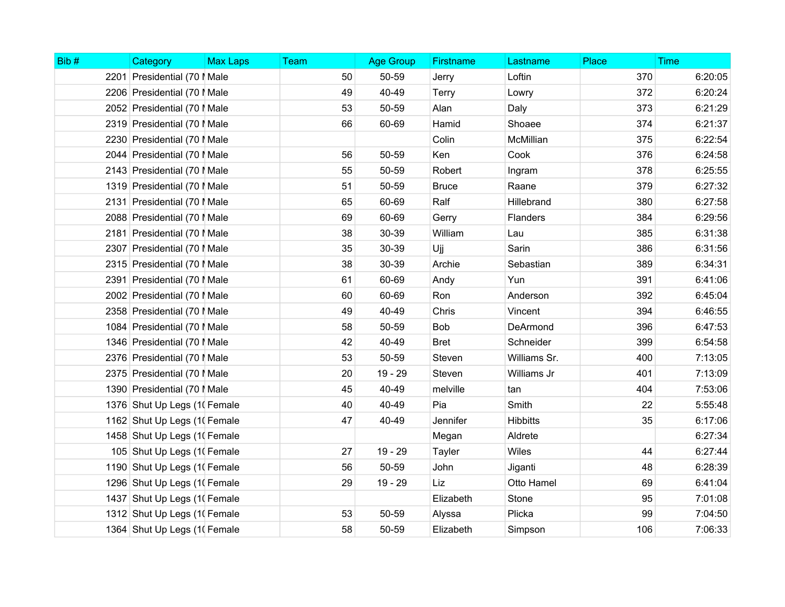| Bib# | Category                     | <b>Max Laps</b> | Team | <b>Age Group</b> | Firstname    | Lastname        | Place | <b>Time</b> |
|------|------------------------------|-----------------|------|------------------|--------------|-----------------|-------|-------------|
|      | 2201 Presidential (70   Male |                 | 50   | 50-59            | Jerry        | Loftin          | 370   | 6:20:05     |
|      | 2206 Presidential (70   Male |                 | 49   | 40-49            | Terry        | Lowry           | 372   | 6:20:24     |
|      | 2052 Presidential (70   Male |                 | 53   | 50-59            | Alan         | Daly            | 373   | 6:21:29     |
|      | 2319 Presidential (70   Male |                 | 66   | 60-69            | Hamid        | Shoaee          | 374   | 6:21:37     |
|      | 2230 Presidential (70   Male |                 |      |                  | Colin        | McMillian       | 375   | 6:22:54     |
|      | 2044 Presidential (70   Male |                 | 56   | 50-59            | Ken          | Cook            | 376   | 6:24:58     |
|      | 2143 Presidential (70   Male |                 | 55   | 50-59            | Robert       | Ingram          | 378   | 6:25:55     |
|      | 1319 Presidential (70   Male |                 | 51   | 50-59            | <b>Bruce</b> | Raane           | 379   | 6:27:32     |
|      | 2131 Presidential (70   Male |                 | 65   | 60-69            | Ralf         | Hillebrand      | 380   | 6:27:58     |
|      | 2088 Presidential (70   Male |                 | 69   | 60-69            | Gerry        | Flanders        | 384   | 6:29:56     |
|      | 2181 Presidential (70   Male |                 | 38   | 30-39            | William      | Lau             | 385   | 6:31:38     |
|      | 2307 Presidential (70   Male |                 | 35   | 30-39            | Ujj          | Sarin           | 386   | 6:31:56     |
|      | 2315 Presidential (70   Male |                 | 38   | 30-39            | Archie       | Sebastian       | 389   | 6:34:31     |
|      | 2391 Presidential (70   Male |                 | 61   | 60-69            | Andy         | Yun             | 391   | 6:41:06     |
|      | 2002 Presidential (70   Male |                 | 60   | 60-69            | Ron          | Anderson        | 392   | 6:45:04     |
|      | 2358 Presidential (70   Male |                 | 49   | 40-49            | Chris        | Vincent         | 394   | 6:46:55     |
|      | 1084 Presidential (70   Male |                 | 58   | 50-59            | Bob          | DeArmond        | 396   | 6:47:53     |
|      | 1346 Presidential (70   Male |                 | 42   | 40-49            | <b>Bret</b>  | Schneider       | 399   | 6:54:58     |
|      | 2376 Presidential (70   Male |                 | 53   | 50-59            | Steven       | Williams Sr.    | 400   | 7:13:05     |
|      | 2375 Presidential (70   Male |                 | 20   | 19 - 29          | Steven       | Williams Jr     | 401   | 7:13:09     |
|      | 1390 Presidential (70   Male |                 | 45   | 40-49            | melville     | tan             | 404   | 7:53:06     |
|      | 1376 Shut Up Legs (1) Female |                 | 40   | 40-49            | Pia          | Smith           | 22    | 5:55:48     |
|      | 1162 Shut Up Legs (1) Female |                 | 47   | 40-49            | Jennifer     | <b>Hibbitts</b> | 35    | 6:17:06     |
|      | 1458 Shut Up Legs (1) Female |                 |      |                  | Megan        | Aldrete         |       | 6:27:34     |
|      | 105 Shut Up Legs (1) Female  |                 | 27   | 19 - 29          | Tayler       | Wiles           | 44    | 6:27:44     |
|      | 1190 Shut Up Legs (1) Female |                 | 56   | 50-59            | John         | Jiganti         | 48    | 6:28:39     |
|      | 1296 Shut Up Legs (1) Female |                 | 29   | 19 - 29          | Liz          | Otto Hamel      | 69    | 6:41:04     |
|      | 1437 Shut Up Legs (1) Female |                 |      |                  | Elizabeth    | Stone           | 95    | 7:01:08     |
|      | 1312 Shut Up Legs (1) Female |                 | 53   | 50-59            | Alyssa       | Plicka          | 99    | 7:04:50     |
|      | 1364 Shut Up Legs (1) Female |                 | 58   | 50-59            | Elizabeth    | Simpson         | 106   | 7:06:33     |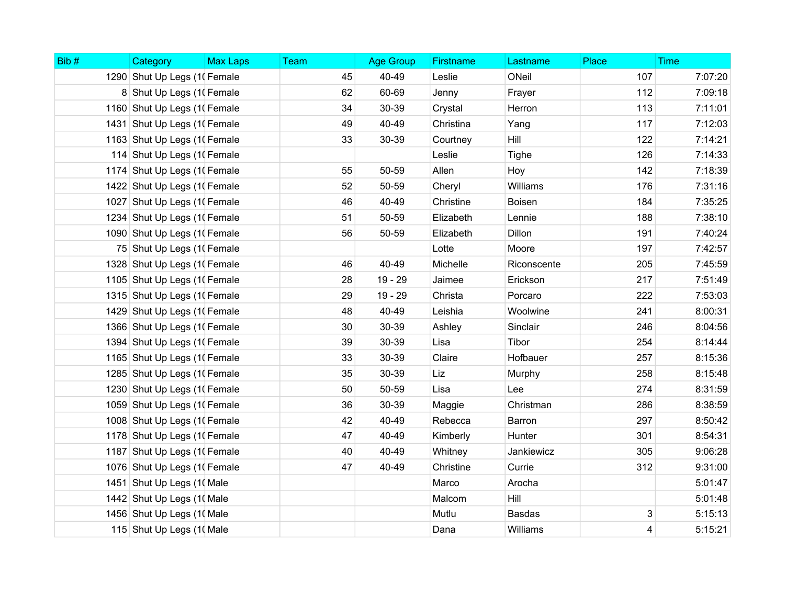| Bib# | Category                     | <b>Max Laps</b> | Team | <b>Age Group</b> | <b>Firstname</b> | Lastname      | Place | <b>Time</b> |
|------|------------------------------|-----------------|------|------------------|------------------|---------------|-------|-------------|
|      | 1290 Shut Up Legs (1) Female |                 | 45   | 40-49            | Leslie           | ONeil         | 107   | 7:07:20     |
|      | 8 Shut Up Legs (1) Female    |                 | 62   | 60-69            | Jenny            | Frayer        | 112   | 7:09:18     |
|      | 1160 Shut Up Legs (1) Female |                 | 34   | 30-39            | Crystal          | Herron        | 113   | 7:11:01     |
|      | 1431 Shut Up Legs (1) Female |                 | 49   | 40-49            | Christina        | Yang          | 117   | 7:12:03     |
|      | 1163 Shut Up Legs (1) Female |                 | 33   | 30-39            | Courtney         | Hill          | 122   | 7:14:21     |
|      | 114 Shut Up Legs (1) Female  |                 |      |                  | Leslie           | Tighe         | 126   | 7:14:33     |
|      | 1174 Shut Up Legs (1) Female |                 | 55   | 50-59            | Allen            | Hoy           | 142   | 7:18:39     |
|      | 1422 Shut Up Legs (1) Female |                 | 52   | 50-59            | Cheryl           | Williams      | 176   | 7:31:16     |
|      | 1027 Shut Up Legs (1) Female |                 | 46   | 40-49            | Christine        | Boisen        | 184   | 7:35:25     |
|      | 1234 Shut Up Legs (1) Female |                 | 51   | 50-59            | Elizabeth        | Lennie        | 188   | 7:38:10     |
|      | 1090 Shut Up Legs (1) Female |                 | 56   | 50-59            | Elizabeth        | Dillon        | 191   | 7:40:24     |
|      | 75 Shut Up Legs (1) Female   |                 |      |                  | Lotte            | Moore         | 197   | 7:42:57     |
|      | 1328 Shut Up Legs (1) Female |                 | 46   | 40-49            | Michelle         | Riconscente   | 205   | 7:45:59     |
|      | 1105 Shut Up Legs (1) Female |                 | 28   | $19 - 29$        | Jaimee           | Erickson      | 217   | 7:51:49     |
|      | 1315 Shut Up Legs (1) Female |                 | 29   | 19 - 29          | Christa          | Porcaro       | 222   | 7:53:03     |
|      | 1429 Shut Up Legs (1) Female |                 | 48   | 40-49            | Leishia          | Woolwine      | 241   | 8:00:31     |
|      | 1366 Shut Up Legs (1) Female |                 | 30   | 30-39            | Ashley           | Sinclair      | 246   | 8:04:56     |
|      | 1394 Shut Up Legs (1) Female |                 | 39   | 30-39            | Lisa             | Tibor         | 254   | 8:14:44     |
|      | 1165 Shut Up Legs (1) Female |                 | 33   | 30-39            | Claire           | Hofbauer      | 257   | 8:15:36     |
|      | 1285 Shut Up Legs (1) Female |                 | 35   | 30-39            | Liz              | Murphy        | 258   | 8:15:48     |
|      | 1230 Shut Up Legs (1) Female |                 | 50   | 50-59            | Lisa             | Lee           | 274   | 8:31:59     |
|      | 1059 Shut Up Legs (1) Female |                 | 36   | 30-39            | Maggie           | Christman     | 286   | 8:38:59     |
|      | 1008 Shut Up Legs (1) Female |                 | 42   | 40-49            | Rebecca          | Barron        | 297   | 8:50:42     |
|      | 1178 Shut Up Legs (1) Female |                 | 47   | 40-49            | Kimberly         | Hunter        | 301   | 8:54:31     |
|      | 1187 Shut Up Legs (1) Female |                 | 40   | 40-49            | Whitney          | Jankiewicz    | 305   | 9:06:28     |
|      | 1076 Shut Up Legs (1) Female |                 | 47   | 40-49            | Christine        | Currie        | 312   | 9:31:00     |
|      | 1451 Shut Up Legs (1) Male   |                 |      |                  | Marco            | Arocha        |       | 5:01:47     |
|      | 1442 Shut Up Legs (1) Male   |                 |      |                  | Malcom           | <b>Hill</b>   |       | 5:01:48     |
|      | 1456 Shut Up Legs (10 Male   |                 |      |                  | Mutlu            | <b>Basdas</b> | 3     | 5:15:13     |
|      | 115 Shut Up Legs (1) Male    |                 |      |                  | Dana             | Williams      | 4     | 5:15:21     |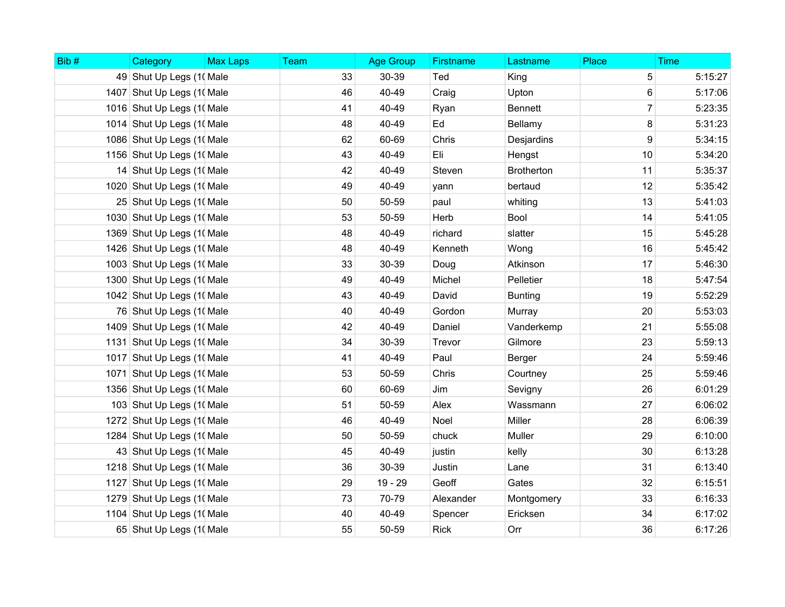| Bib# | Category                   | <b>Max Laps</b> | Team | <b>Age Group</b> | Firstname   | Lastname          | Place          | <b>Time</b> |
|------|----------------------------|-----------------|------|------------------|-------------|-------------------|----------------|-------------|
|      | 49 Shut Up Legs (1) Male   |                 | 33   | 30-39            | Ted         | King              | 5              | 5:15:27     |
|      | 1407 Shut Up Legs (1) Male |                 | 46   | 40-49            | Craig       | Upton             | 6              | 5:17:06     |
|      | 1016 Shut Up Legs (10 Male |                 | 41   | 40-49            | Ryan        | <b>Bennett</b>    | $\overline{7}$ | 5:23:35     |
|      | 1014 Shut Up Legs (10 Male |                 | 48   | 40-49            | Ed          | Bellamy           | 8              | 5:31:23     |
|      | 1086 Shut Up Legs (10 Male |                 | 62   | 60-69            | Chris       | Desjardins        | 9              | 5:34:15     |
|      | 1156 Shut Up Legs (1) Male |                 | 43   | 40-49            | Eli         | Hengst            | 10             | 5:34:20     |
|      | 14 Shut Up Legs (10 Male   |                 | 42   | 40-49            | Steven      | <b>Brotherton</b> | 11             | 5:35:37     |
|      | 1020 Shut Up Legs (10 Male |                 | 49   | 40-49            | yann        | bertaud           | 12             | 5:35:42     |
|      | 25 Shut Up Legs (1) Male   |                 | 50   | 50-59            | paul        | whiting           | 13             | 5:41:03     |
|      | 1030 Shut Up Legs (10 Male |                 | 53   | 50-59            | Herb        | Bool              | 14             | 5:41:05     |
|      | 1369 Shut Up Legs (1) Male |                 | 48   | 40-49            | richard     | slatter           | 15             | 5:45:28     |
|      | 1426 Shut Up Legs (10 Male |                 | 48   | 40-49            | Kenneth     | Wong              | 16             | 5:45:42     |
|      | 1003 Shut Up Legs (10 Male |                 | 33   | 30-39            | Doug        | Atkinson          | 17             | 5:46:30     |
|      | 1300 Shut Up Legs (1) Male |                 | 49   | 40-49            | Michel      | Pelletier         | 18             | 5:47:54     |
|      | 1042 Shut Up Legs (10 Male |                 | 43   | 40-49            | David       | <b>Bunting</b>    | 19             | 5:52:29     |
|      | 76 Shut Up Legs (1) Male   |                 | 40   | 40-49            | Gordon      | Murray            | 20             | 5:53:03     |
|      | 1409 Shut Up Legs (10 Male |                 | 42   | 40-49            | Daniel      | Vanderkemp        | 21             | 5:55:08     |
|      | 1131 Shut Up Legs (1) Male |                 | 34   | 30-39            | Trevor      | Gilmore           | 23             | 5:59:13     |
|      | 1017 Shut Up Legs (10 Male |                 | 41   | 40-49            | Paul        | Berger            | 24             | 5:59:46     |
|      | 1071 Shut Up Legs (1) Male |                 | 53   | 50-59            | Chris       | Courtney          | 25             | 5:59:46     |
|      | 1356 Shut Up Legs (10 Male |                 | 60   | 60-69            | Jim         | Sevigny           | 26             | 6:01:29     |
|      | 103 Shut Up Legs (1) Male  |                 | 51   | 50-59            | Alex        | Wassmann          | 27             | 6:06:02     |
|      | 1272 Shut Up Legs (1) Male |                 | 46   | 40-49            | Noel        | Miller            | 28             | 6:06:39     |
|      | 1284 Shut Up Legs (10 Male |                 | 50   | 50-59            | chuck       | Muller            | 29             | 6:10:00     |
|      | 43 Shut Up Legs (1) Male   |                 | 45   | 40-49            | justin      | kelly             | 30             | 6:13:28     |
|      | 1218 Shut Up Legs (1) Male |                 | 36   | 30-39            | Justin      | Lane              | 31             | 6:13:40     |
|      | 1127 Shut Up Legs (10 Male |                 | 29   | 19 - 29          | Geoff       | Gates             | 32             | 6:15:51     |
|      | 1279 Shut Up Legs (1) Male |                 | 73   | 70-79            | Alexander   | Montgomery        | 33             | 6:16:33     |
|      | 1104 Shut Up Legs (1( Male |                 | 40   | 40-49            | Spencer     | Ericksen          | 34             | 6:17:02     |
|      | 65 Shut Up Legs (1) Male   |                 | 55   | 50-59            | <b>Rick</b> | Orr               | 36             | 6:17:26     |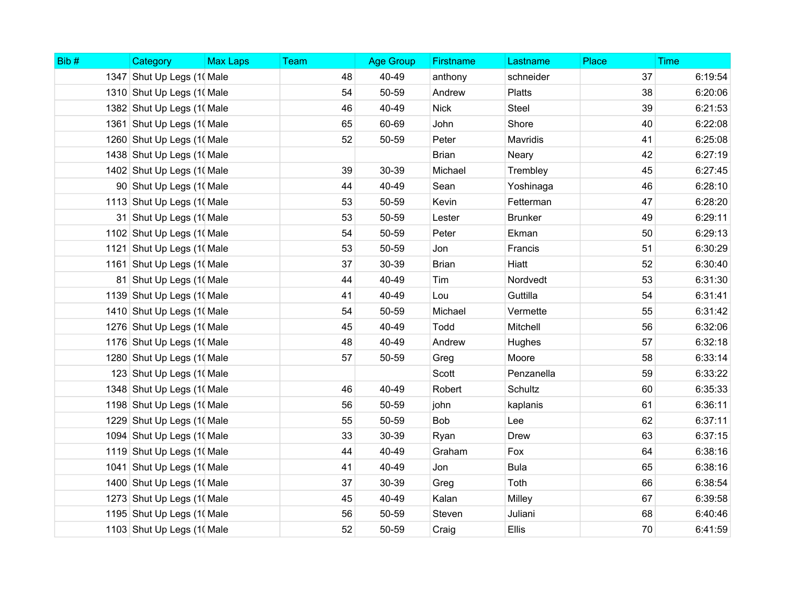| Bib# | Category                   | <b>Max Laps</b> | Team | <b>Age Group</b> | <b>Firstname</b> | Lastname       | Place | <b>Time</b> |
|------|----------------------------|-----------------|------|------------------|------------------|----------------|-------|-------------|
|      | 1347 Shut Up Legs (1) Male |                 | 48   | 40-49            | anthony          | schneider      | 37    | 6:19:54     |
|      | 1310 Shut Up Legs (10 Male |                 | 54   | 50-59            | Andrew           | <b>Platts</b>  | 38    | 6:20:06     |
|      | 1382 Shut Up Legs (1) Male |                 | 46   | 40-49            | <b>Nick</b>      | <b>Steel</b>   | 39    | 6:21:53     |
|      | 1361 Shut Up Legs (1) Male |                 | 65   | 60-69            | John             | Shore          | 40    | 6:22:08     |
|      | 1260 Shut Up Legs (1) Male |                 | 52   | 50-59            | Peter            | Mavridis       | 41    | 6:25:08     |
|      | 1438 Shut Up Legs (1) Male |                 |      |                  | <b>Brian</b>     | Neary          | 42    | 6:27:19     |
|      | 1402 Shut Up Legs (1) Male |                 | 39   | 30-39            | Michael          | Trembley       | 45    | 6:27:45     |
|      | 90 Shut Up Legs (1) Male   |                 | 44   | 40-49            | Sean             | Yoshinaga      | 46    | 6:28:10     |
|      | 1113 Shut Up Legs (1) Male |                 | 53   | 50-59            | Kevin            | Fetterman      | 47    | 6:28:20     |
|      | 31 Shut Up Legs (1) Male   |                 | 53   | 50-59            | Lester           | <b>Brunker</b> | 49    | 6:29:11     |
|      | 1102 Shut Up Legs (1) Male |                 | 54   | 50-59            | Peter            | Ekman          | 50    | 6:29:13     |
|      | 1121 Shut Up Legs (1) Male |                 | 53   | 50-59            | Jon              | Francis        | 51    | 6:30:29     |
|      | 1161 Shut Up Legs (1) Male |                 | 37   | 30-39            | <b>Brian</b>     | Hiatt          | 52    | 6:30:40     |
|      | 81 Shut Up Legs (10 Male   |                 | 44   | 40-49            | Tim              | Nordvedt       | 53    | 6:31:30     |
|      | 1139 Shut Up Legs (10 Male |                 | 41   | 40-49            | Lou              | Guttilla       | 54    | 6:31:41     |
|      | 1410 Shut Up Legs (10 Male |                 | 54   | 50-59            | Michael          | Vermette       | 55    | 6:31:42     |
|      | 1276 Shut Up Legs (10 Male |                 | 45   | 40-49            | Todd             | Mitchell       | 56    | 6:32:06     |
|      | 1176 Shut Up Legs (1( Male |                 | 48   | 40-49            | Andrew           | Hughes         | 57    | 6:32:18     |
|      | 1280 Shut Up Legs (10 Male |                 | 57   | 50-59            | Greg             | Moore          | 58    | 6:33:14     |
|      | 123 Shut Up Legs (1) Male  |                 |      |                  | Scott            | Penzanella     | 59    | 6:33:22     |
|      | 1348 Shut Up Legs (1) Male |                 | 46   | 40-49            | Robert           | Schultz        | 60    | 6:35:33     |
|      | 1198 Shut Up Legs (10 Male |                 | 56   | 50-59            | john             | kaplanis       | 61    | 6:36:11     |
|      | 1229 Shut Up Legs (1( Male |                 | 55   | 50-59            | Bob              | Lee            | 62    | 6:37:11     |
|      | 1094 Shut Up Legs (1) Male |                 | 33   | 30-39            | Ryan             | <b>Drew</b>    | 63    | 6:37:15     |
|      | 1119 Shut Up Legs (10 Male |                 | 44   | 40-49            | Graham           | Fox            | 64    | 6:38:16     |
|      | 1041 Shut Up Legs (1) Male |                 | 41   | 40-49            | Jon              | <b>Bula</b>    | 65    | 6:38:16     |
|      | 1400 Shut Up Legs (10 Male |                 | 37   | 30-39            | Greg             | Toth           | 66    | 6:38:54     |
|      | 1273 Shut Up Legs (1) Male |                 | 45   | 40-49            | Kalan            | Milley         | 67    | 6:39:58     |
|      | 1195 Shut Up Legs (1) Male |                 | 56   | 50-59            | Steven           | Juliani        | 68    | 6:40:46     |
|      | 1103 Shut Up Legs (1) Male |                 | 52   | 50-59            | Craig            | Ellis          | 70    | 6:41:59     |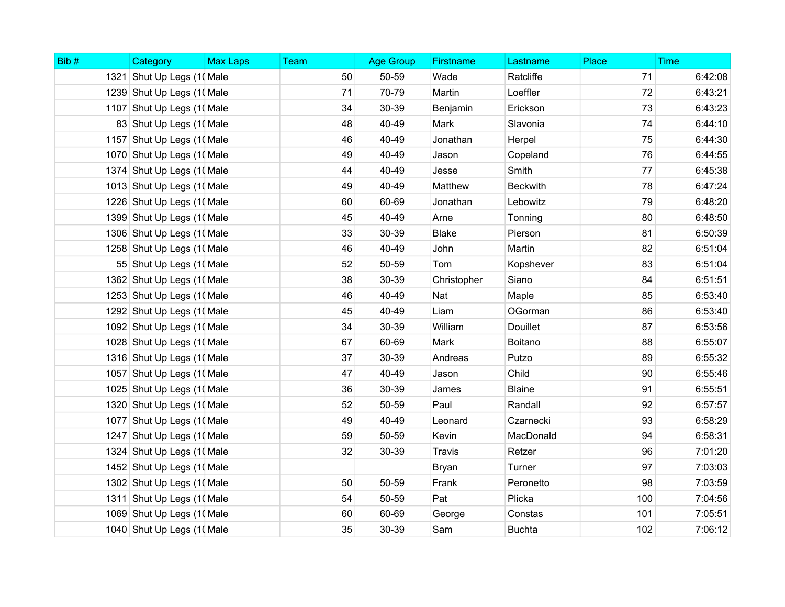| Bib# | Category                   | <b>Max Laps</b> | Team | <b>Age Group</b> | Firstname    | Lastname        | Place | <b>Time</b> |
|------|----------------------------|-----------------|------|------------------|--------------|-----------------|-------|-------------|
|      | 1321 Shut Up Legs (1) Male |                 | 50   | 50-59            | Wade         | Ratcliffe       | 71    | 6:42:08     |
|      | 1239 Shut Up Legs (1) Male |                 | 71   | 70-79            | Martin       | Loeffler        | 72    | 6:43:21     |
|      | 1107 Shut Up Legs (10 Male |                 | 34   | 30-39            | Benjamin     | Erickson        | 73    | 6:43:23     |
|      | 83 Shut Up Legs (1) Male   |                 | 48   | 40-49            | Mark         | Slavonia        | 74    | 6:44:10     |
|      | 1157 Shut Up Legs (1) Male |                 | 46   | 40-49            | Jonathan     | Herpel          | 75    | 6:44:30     |
|      | 1070 Shut Up Legs (10 Male |                 | 49   | 40-49            | Jason        | Copeland        | 76    | 6:44:55     |
|      | 1374 Shut Up Legs (1( Male |                 | 44   | 40-49            | Jesse        | Smith           | 77    | 6:45:38     |
|      | 1013 Shut Up Legs (10 Male |                 | 49   | 40-49            | Matthew      | <b>Beckwith</b> | 78    | 6:47:24     |
|      | 1226 Shut Up Legs (10 Male |                 | 60   | 60-69            | Jonathan     | Lebowitz        | 79    | 6:48:20     |
|      | 1399 Shut Up Legs (10 Male |                 | 45   | 40-49            | Arne         | Tonning         | 80    | 6:48:50     |
|      | 1306 Shut Up Legs (10 Male |                 | 33   | 30-39            | <b>Blake</b> | Pierson         | 81    | 6:50:39     |
|      | 1258 Shut Up Legs (1( Male |                 | 46   | 40-49            | John         | Martin          | 82    | 6:51:04     |
|      | 55 Shut Up Legs (1) Male   |                 | 52   | 50-59            | Tom          | Kopshever       | 83    | 6:51:04     |
|      | 1362 Shut Up Legs (1) Male |                 | 38   | 30-39            | Christopher  | Siano           | 84    | 6:51:51     |
|      | 1253 Shut Up Legs (1) Male |                 | 46   | 40-49            | Nat          | Maple           | 85    | 6:53:40     |
|      | 1292 Shut Up Legs (1) Male |                 | 45   | 40-49            | Liam         | OGorman         | 86    | 6:53:40     |
|      | 1092 Shut Up Legs (1( Male |                 | 34   | 30-39            | William      | <b>Douillet</b> | 87    | 6:53:56     |
|      | 1028 Shut Up Legs (10 Male |                 | 67   | 60-69            | Mark         | Boitano         | 88    | 6:55:07     |
|      | 1316 Shut Up Legs (10 Male |                 | 37   | 30-39            | Andreas      | Putzo           | 89    | 6:55:32     |
|      | 1057 Shut Up Legs (1) Male |                 | 47   | 40-49            | Jason        | Child           | 90    | 6:55:46     |
|      | 1025 Shut Up Legs (1) Male |                 | 36   | 30-39            | James        | <b>Blaine</b>   | 91    | 6:55:51     |
|      | 1320 Shut Up Legs (10 Male |                 | 52   | 50-59            | Paul         | Randall         | 92    | 6:57:57     |
|      | 1077 Shut Up Legs (10 Male |                 | 49   | 40-49            | Leonard      | Czarnecki       | 93    | 6:58:29     |
|      | 1247 Shut Up Legs (1) Male |                 | 59   | 50-59            | Kevin        | MacDonald       | 94    | 6:58:31     |
|      | 1324 Shut Up Legs (1) Male |                 | 32   | 30-39            | Travis       | Retzer          | 96    | 7:01:20     |
|      | 1452 Shut Up Legs (1) Male |                 |      |                  | Bryan        | Turner          | 97    | 7:03:03     |
|      | 1302 Shut Up Legs (10 Male |                 | 50   | 50-59            | Frank        | Peronetto       | 98    | 7:03:59     |
|      | 1311 Shut Up Legs (1) Male |                 | 54   | 50-59            | Pat          | Plicka          | 100   | 7:04:56     |
|      | 1069 Shut Up Legs (1) Male |                 | 60   | 60-69            | George       | Constas         | 101   | 7:05:51     |
|      | 1040 Shut Up Legs (10 Male |                 | 35   | 30-39            | Sam          | <b>Buchta</b>   | 102   | 7:06:12     |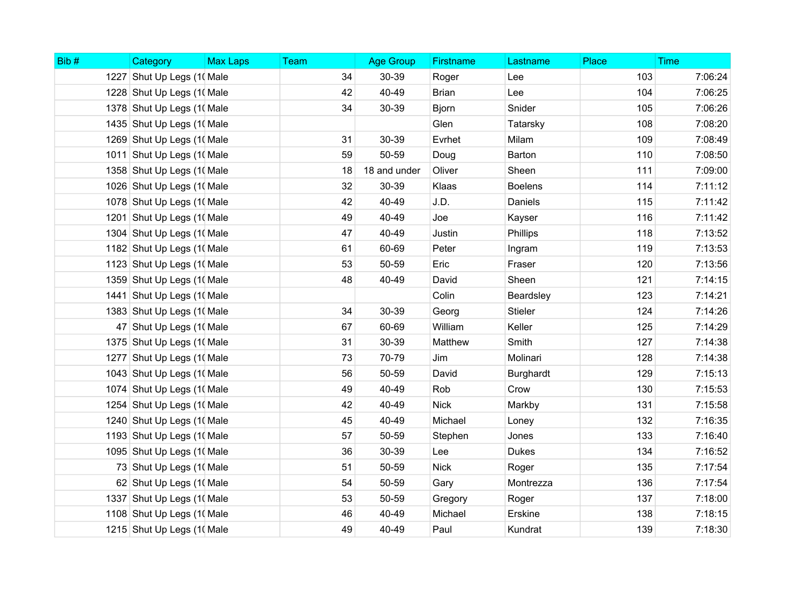| Bib# | Category                   | <b>Max Laps</b> | Team | <b>Age Group</b> | Firstname    | Lastname       | Place | <b>Time</b> |
|------|----------------------------|-----------------|------|------------------|--------------|----------------|-------|-------------|
|      | 1227 Shut Up Legs (1) Male |                 | 34   | 30-39            | Roger        | Lee            | 103   | 7:06:24     |
|      | 1228 Shut Up Legs (1( Male |                 | 42   | 40-49            | <b>Brian</b> | Lee            | 104   | 7:06:25     |
|      | 1378 Shut Up Legs (10 Male |                 | 34   | 30-39            | <b>Bjorn</b> | Snider         | 105   | 7:06:26     |
|      | 1435 Shut Up Legs (10 Male |                 |      |                  | Glen         | Tatarsky       | 108   | 7:08:20     |
|      | 1269 Shut Up Legs (10 Male |                 | 31   | 30-39            | Evrhet       | Milam          | 109   | 7:08:49     |
|      | 1011 Shut Up Legs (1) Male |                 | 59   | 50-59            | Doug         | Barton         | 110   | 7:08:50     |
|      | 1358 Shut Up Legs (1) Male |                 | 18   | 18 and under     | Oliver       | Sheen          | 111   | 7:09:00     |
|      | 1026 Shut Up Legs (10 Male |                 | 32   | 30-39            | Klaas        | <b>Boelens</b> | 114   | 7:11:12     |
|      | 1078 Shut Up Legs (10 Male |                 | 42   | 40-49            | J.D.         | Daniels        | 115   | 7:11:42     |
|      | 1201 Shut Up Legs (1) Male |                 | 49   | 40-49            | Joe          | Kayser         | 116   | 7:11:42     |
|      | 1304 Shut Up Legs (10 Male |                 | 47   | 40-49            | Justin       | Phillips       | 118   | 7:13:52     |
|      | 1182 Shut Up Legs (1) Male |                 | 61   | 60-69            | Peter        | Ingram         | 119   | 7:13:53     |
|      | 1123 Shut Up Legs (1( Male |                 | 53   | 50-59            | Eric         | Fraser         | 120   | 7:13:56     |
|      | 1359 Shut Up Legs (1) Male |                 | 48   | 40-49            | David        | Sheen          | 121   | 7:14:15     |
|      | 1441 Shut Up Legs (1) Male |                 |      |                  | Colin        | Beardsley      | 123   | 7:14:21     |
|      | 1383 Shut Up Legs (10 Male |                 | 34   | 30-39            | Georg        | <b>Stieler</b> | 124   | 7:14:26     |
|      | 47 Shut Up Legs (1) Male   |                 | 67   | 60-69            | William      | Keller         | 125   | 7:14:29     |
|      | 1375 Shut Up Legs (10 Male |                 | 31   | 30-39            | Matthew      | Smith          | 127   | 7:14:38     |
|      | 1277 Shut Up Legs (1) Male |                 | 73   | 70-79            | Jim          | Molinari       | 128   | 7:14:38     |
|      | 1043 Shut Up Legs (10 Male |                 | 56   | 50-59            | David        | Burghardt      | 129   | 7:15:13     |
|      | 1074 Shut Up Legs (10 Male |                 | 49   | 40-49            | Rob          | Crow           | 130   | 7:15:53     |
|      | 1254 Shut Up Legs (1) Male |                 | 42   | 40-49            | <b>Nick</b>  | Markby         | 131   | 7:15:58     |
|      | 1240 Shut Up Legs (10 Male |                 | 45   | 40-49            | Michael      | Loney          | 132   | 7:16:35     |
|      | 1193 Shut Up Legs (1) Male |                 | 57   | 50-59            | Stephen      | Jones          | 133   | 7:16:40     |
|      | 1095 Shut Up Legs (10 Male |                 | 36   | 30-39            | Lee          | <b>Dukes</b>   | 134   | 7:16:52     |
|      | 73 Shut Up Legs (1) Male   |                 | 51   | 50-59            | <b>Nick</b>  | Roger          | 135   | 7:17:54     |
|      | 62 Shut Up Legs (1) Male   |                 | 54   | 50-59            | Gary         | Montrezza      | 136   | 7:17:54     |
|      | 1337 Shut Up Legs (1) Male |                 | 53   | 50-59            | Gregory      | Roger          | 137   | 7:18:00     |
|      | 1108 Shut Up Legs (1) Male |                 | 46   | 40-49            | Michael      | Erskine        | 138   | 7:18:15     |
|      | 1215 Shut Up Legs (1) Male |                 | 49   | 40-49            | Paul         | Kundrat        | 139   | 7:18:30     |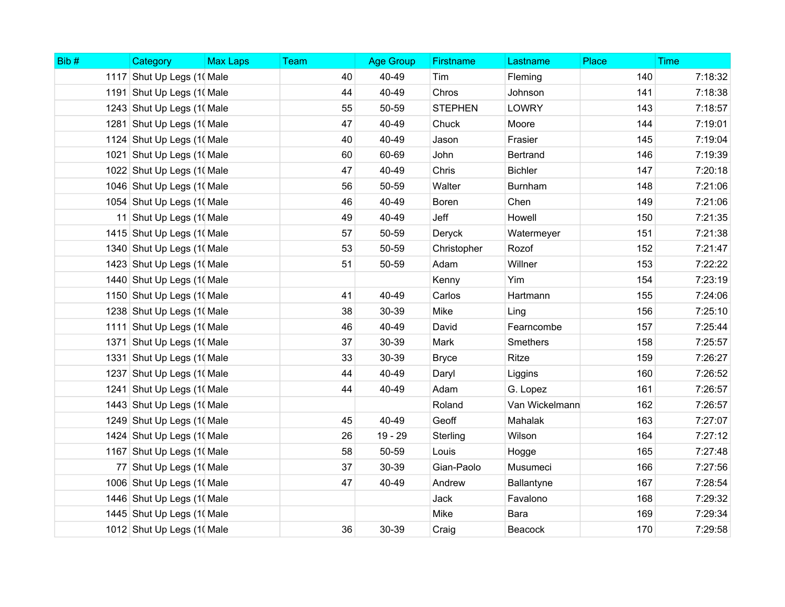| Bib# | Category                   | <b>Max Laps</b> | Team | <b>Age Group</b> | Firstname      | Lastname        | Place | <b>Time</b> |
|------|----------------------------|-----------------|------|------------------|----------------|-----------------|-------|-------------|
|      | 1117 Shut Up Legs (1) Male |                 | 40   | 40-49            | Tim            | Fleming         | 140   | 7:18:32     |
|      | 1191 Shut Up Legs (10 Male |                 | 44   | 40-49            | Chros          | Johnson         | 141   | 7:18:38     |
|      | 1243 Shut Up Legs (1) Male |                 | 55   | 50-59            | <b>STEPHEN</b> | <b>LOWRY</b>    | 143   | 7:18:57     |
|      | 1281 Shut Up Legs (1) Male |                 | 47   | 40-49            | Chuck          | Moore           | 144   | 7:19:01     |
|      | 1124 Shut Up Legs (1) Male |                 | 40   | 40-49            | Jason          | Frasier         | 145   | 7:19:04     |
|      | 1021 Shut Up Legs (1) Male |                 | 60   | 60-69            | John           | <b>Bertrand</b> | 146   | 7:19:39     |
|      | 1022 Shut Up Legs (1) Male |                 | 47   | 40-49            | Chris          | <b>Bichler</b>  | 147   | 7:20:18     |
|      | 1046 Shut Up Legs (10 Male |                 | 56   | 50-59            | Walter         | <b>Burnham</b>  | 148   | 7:21:06     |
|      | 1054 Shut Up Legs (1) Male |                 | 46   | 40-49            | Boren          | Chen            | 149   | 7:21:06     |
|      | 11 Shut Up Legs (1) Male   |                 | 49   | 40-49            | Jeff           | Howell          | 150   | 7:21:35     |
|      | 1415 Shut Up Legs (10 Male |                 | 57   | 50-59            | Deryck         | Watermeyer      | 151   | 7:21:38     |
|      | 1340 Shut Up Legs (10 Male |                 | 53   | 50-59            | Christopher    | Rozof           | 152   | 7:21:47     |
|      | 1423 Shut Up Legs (1) Male |                 | 51   | 50-59            | Adam           | Willner         | 153   | 7:22:22     |
|      | 1440 Shut Up Legs (10 Male |                 |      |                  | Kenny          | Yim             | 154   | 7:23:19     |
|      | 1150 Shut Up Legs (10 Male |                 | 41   | 40-49            | Carlos         | Hartmann        | 155   | 7:24:06     |
|      | 1238 Shut Up Legs (10 Male |                 | 38   | 30-39            | Mike           | Ling            | 156   | 7:25:10     |
|      | 1111 Shut Up Legs (1) Male |                 | 46   | 40-49            | David          | Fearncombe      | 157   | 7:25:44     |
|      | 1371 Shut Up Legs (1) Male |                 | 37   | 30-39            | Mark           | Smethers        | 158   | 7:25:57     |
|      | 1331 Shut Up Legs (1) Male |                 | 33   | 30-39            | <b>Bryce</b>   | Ritze           | 159   | 7:26:27     |
|      | 1237 Shut Up Legs (10 Male |                 | 44   | 40-49            | Daryl          | Liggins         | 160   | 7:26:52     |
|      | 1241 Shut Up Legs (1) Male |                 | 44   | 40-49            | Adam           | G. Lopez        | 161   | 7:26:57     |
|      | 1443 Shut Up Legs (10 Male |                 |      |                  | Roland         | Van Wickelmann  | 162   | 7:26:57     |
|      | 1249 Shut Up Legs (10 Male |                 | 45   | 40-49            | Geoff          | Mahalak         | 163   | 7:27:07     |
|      | 1424 Shut Up Legs (1) Male |                 | 26   | 19 - 29          | Sterling       | Wilson          | 164   | 7:27:12     |
|      | 1167 Shut Up Legs (10 Male |                 | 58   | 50-59            | Louis          | Hogge           | 165   | 7:27:48     |
|      | 77 Shut Up Legs (1) Male   |                 | 37   | 30-39            | Gian-Paolo     | Musumeci        | 166   | 7:27:56     |
|      | 1006 Shut Up Legs (10 Male |                 | 47   | 40-49            | Andrew         | Ballantyne      | 167   | 7:28:54     |
|      | 1446 Shut Up Legs (10 Male |                 |      |                  | Jack           | Favalono        | 168   | 7:29:32     |
|      | 1445 Shut Up Legs (1) Male |                 |      |                  | Mike           | Bara            | 169   | 7:29:34     |
|      | 1012 Shut Up Legs (1) Male |                 | 36   | 30-39            | Craig          | Beacock         | 170   | 7:29:58     |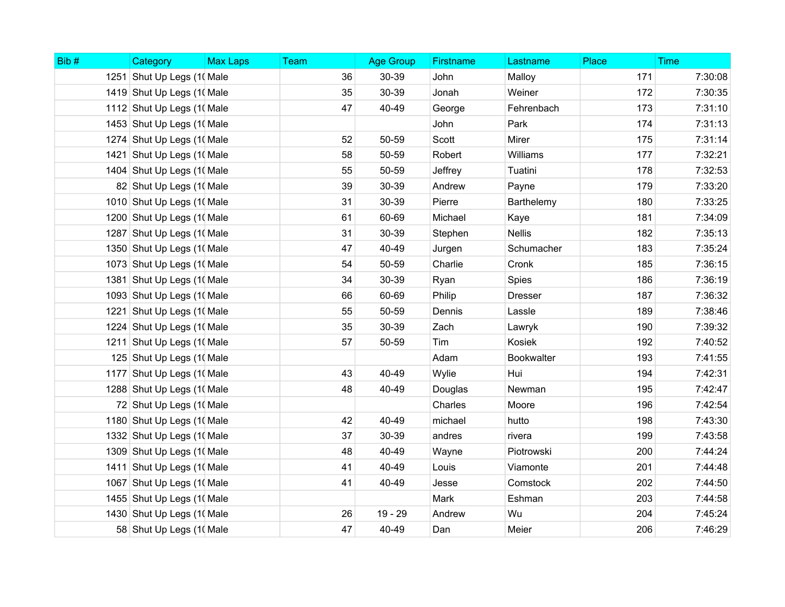| Bib# | Category                   | <b>Max Laps</b> | Team | <b>Age Group</b> | Firstname | Lastname       | Place | <b>Time</b> |
|------|----------------------------|-----------------|------|------------------|-----------|----------------|-------|-------------|
|      | 1251 Shut Up Legs (1) Male |                 | 36   | 30-39            | John      | Malloy         | 171   | 7:30:08     |
|      | 1419 Shut Up Legs (1) Male |                 | 35   | 30-39            | Jonah     | Weiner         | 172   | 7:30:35     |
|      | 1112 Shut Up Legs (1) Male |                 | 47   | 40-49            | George    | Fehrenbach     | 173   | 7:31:10     |
|      | 1453 Shut Up Legs (1) Male |                 |      |                  | John      | Park           | 174   | 7:31:13     |
|      | 1274 Shut Up Legs (10 Male |                 | 52   | 50-59            | Scott     | Mirer          | 175   | 7:31:14     |
|      | 1421 Shut Up Legs (1) Male |                 | 58   | 50-59            | Robert    | Williams       | 177   | 7:32:21     |
|      | 1404 Shut Up Legs (1) Male |                 | 55   | 50-59            | Jeffrey   | Tuatini        | 178   | 7:32:53     |
|      | 82 Shut Up Legs (1) Male   |                 | 39   | 30-39            | Andrew    | Payne          | 179   | 7:33:20     |
|      | 1010 Shut Up Legs (1) Male |                 | 31   | 30-39            | Pierre    | Barthelemy     | 180   | 7:33:25     |
|      | 1200 Shut Up Legs (10 Male |                 | 61   | 60-69            | Michael   | Kaye           | 181   | 7:34:09     |
|      | 1287 Shut Up Legs (10 Male |                 | 31   | 30-39            | Stephen   | <b>Nellis</b>  | 182   | 7:35:13     |
|      | 1350 Shut Up Legs (10 Male |                 | 47   | 40-49            | Jurgen    | Schumacher     | 183   | 7:35:24     |
|      | 1073 Shut Up Legs (10 Male |                 | 54   | 50-59            | Charlie   | Cronk          | 185   | 7:36:15     |
|      | 1381 Shut Up Legs (1) Male |                 | 34   | 30-39            | Ryan      | Spies          | 186   | 7:36:19     |
|      | 1093 Shut Up Legs (10 Male |                 | 66   | 60-69            | Philip    | <b>Dresser</b> | 187   | 7:36:32     |
|      | 1221 Shut Up Legs (1) Male |                 | 55   | 50-59            | Dennis    | Lassle         | 189   | 7:38:46     |
|      | 1224 Shut Up Legs (1) Male |                 | 35   | 30-39            | Zach      | Lawryk         | 190   | 7:39:32     |
|      | 1211 Shut Up Legs (1) Male |                 | 57   | 50-59            | Tim       | Kosiek         | 192   | 7:40:52     |
|      | 125 Shut Up Legs (1) Male  |                 |      |                  | Adam      | Bookwalter     | 193   | 7:41:55     |
|      | 1177 Shut Up Legs (1) Male |                 | 43   | 40-49            | Wylie     | Hui            | 194   | 7:42:31     |
|      | 1288 Shut Up Legs (10 Male |                 | 48   | 40-49            | Douglas   | Newman         | 195   | 7:42:47     |
|      | 72 Shut Up Legs (1) Male   |                 |      |                  | Charles   | Moore          | 196   | 7:42:54     |
|      | 1180 Shut Up Legs (1) Male |                 | 42   | 40-49            | michael   | hutto          | 198   | 7:43:30     |
|      | 1332 Shut Up Legs (1) Male |                 | 37   | 30-39            | andres    | rivera         | 199   | 7:43:58     |
|      | 1309 Shut Up Legs (10 Male |                 | 48   | 40-49            | Wayne     | Piotrowski     | 200   | 7:44:24     |
|      | 1411 Shut Up Legs (1) Male |                 | 41   | 40-49            | Louis     | Viamonte       | 201   | 7:44:48     |
|      | 1067 Shut Up Legs (10 Male |                 | 41   | 40-49            | Jesse     | Comstock       | 202   | 7:44:50     |
|      | 1455 Shut Up Legs (1) Male |                 |      |                  | Mark      | Eshman         | 203   | 7:44:58     |
|      | 1430 Shut Up Legs (1) Male |                 | 26   | 19 - 29          | Andrew    | Wu             | 204   | 7:45:24     |
|      | 58 Shut Up Legs (1) Male   |                 | 47   | 40-49            | Dan       | Meier          | 206   | 7:46:29     |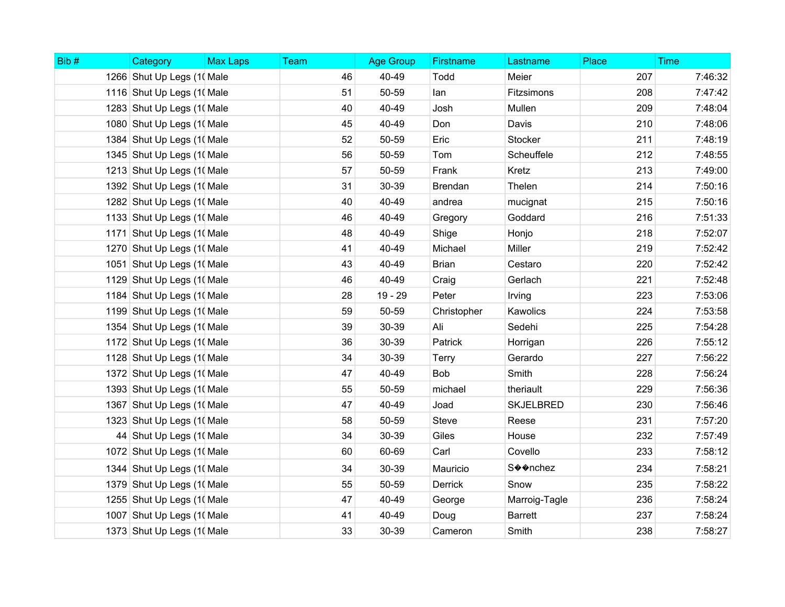| Bib# | Category                   | <b>Max Laps</b> | Team | <b>Age Group</b> | <b>Firstname</b> | Lastname         | Place | <b>Time</b> |
|------|----------------------------|-----------------|------|------------------|------------------|------------------|-------|-------------|
|      | 1266 Shut Up Legs (1) Male |                 | 46   | 40-49            | Todd             | Meier            | 207   | 7:46:32     |
|      | 1116 Shut Up Legs (10 Male |                 | 51   | 50-59            | lan              | Fitzsimons       | 208   | 7:47:42     |
|      | 1283 Shut Up Legs (10 Male |                 | 40   | 40-49            | Josh             | Mullen           | 209   | 7:48:04     |
|      | 1080 Shut Up Legs (10 Male |                 | 45   | 40-49            | Don              | Davis            | 210   | 7:48:06     |
|      | 1384 Shut Up Legs (10 Male |                 | 52   | 50-59            | Eric             | Stocker          | 211   | 7:48:19     |
|      | 1345 Shut Up Legs (1) Male |                 | 56   | 50-59            | Tom              | Scheuffele       | 212   | 7:48:55     |
|      | 1213 Shut Up Legs (1) Male |                 | 57   | 50-59            | Frank            | Kretz            | 213   | 7:49:00     |
|      | 1392 Shut Up Legs (1) Male |                 | 31   | 30-39            | Brendan          | Thelen           | 214   | 7:50:16     |
|      | 1282 Shut Up Legs (1) Male |                 | 40   | 40-49            | andrea           | mucignat         | 215   | 7:50:16     |
|      | 1133 Shut Up Legs (1) Male |                 | 46   | 40-49            | Gregory          | Goddard          | 216   | 7:51:33     |
|      | 1171 Shut Up Legs (1) Male |                 | 48   | 40-49            | Shige            | Honjo            | 218   | 7:52:07     |
|      | 1270 Shut Up Legs (1) Male |                 | 41   | 40-49            | Michael          | Miller           | 219   | 7:52:42     |
|      | 1051 Shut Up Legs (1) Male |                 | 43   | 40-49            | <b>Brian</b>     | Cestaro          | 220   | 7:52:42     |
|      | 1129 Shut Up Legs (1) Male |                 | 46   | 40-49            | Craig            | Gerlach          | 221   | 7:52:48     |
|      | 1184 Shut Up Legs (10 Male |                 | 28   | 19 - 29          | Peter            | Irving           | 223   | 7:53:06     |
|      | 1199 Shut Up Legs (1) Male |                 | 59   | 50-59            | Christopher      | Kawolics         | 224   | 7:53:58     |
|      | 1354 Shut Up Legs (1) Male |                 | 39   | 30-39            | Ali              | Sedehi           | 225   | 7:54:28     |
|      | 1172 Shut Up Legs (1) Male |                 | 36   | 30-39            | Patrick          | Horrigan         | 226   | 7:55:12     |
|      | 1128 Shut Up Legs (1) Male |                 | 34   | 30-39            | <b>Terry</b>     | Gerardo          | 227   | 7:56:22     |
|      | 1372 Shut Up Legs (10 Male |                 | 47   | 40-49            | <b>Bob</b>       | Smith            | 228   | 7:56:24     |
|      | 1393 Shut Up Legs (10 Male |                 | 55   | 50-59            | michael          | theriault        | 229   | 7:56:36     |
|      | 1367 Shut Up Legs (1) Male |                 | 47   | 40-49            | Joad             | <b>SKJELBRED</b> | 230   | 7:56:46     |
|      | 1323 Shut Up Legs (1) Male |                 | 58   | 50-59            | <b>Steve</b>     | Reese            | 231   | 7:57:20     |
|      | 44 Shut Up Legs (1) Male   |                 | 34   | 30-39            | Giles            | House            | 232   | 7:57:49     |
|      | 1072 Shut Up Legs (1) Male |                 | 60   | 60-69            | Carl             | Covello          | 233   | 7:58:12     |
|      | 1344 Shut Up Legs (10 Male |                 | 34   | 30-39            | Mauricio         | S��nchez         | 234   | 7:58:21     |
|      | 1379 Shut Up Legs (10 Male |                 | 55   | 50-59            | <b>Derrick</b>   | Snow             | 235   | 7:58:22     |
|      | 1255 Shut Up Legs (1) Male |                 | 47   | 40-49            | George           | Marroig-Tagle    | 236   | 7:58:24     |
|      | 1007 Shut Up Legs (10 Male |                 | 41   | 40-49            | Doug             | <b>Barrett</b>   | 237   | 7:58:24     |
|      | 1373 Shut Up Legs (1) Male |                 | 33   | 30-39            | Cameron          | Smith            | 238   | 7:58:27     |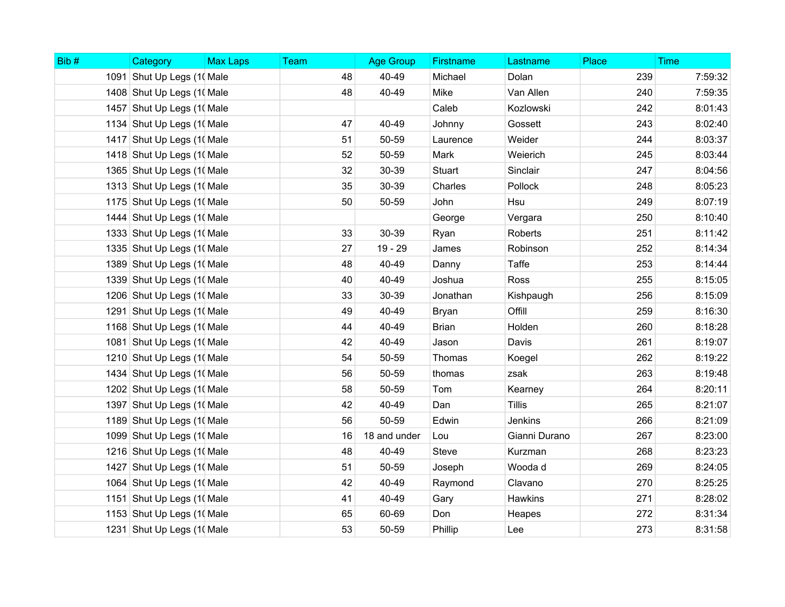| Bib# | Category                   | <b>Max Laps</b> | <b>Team</b> | <b>Age Group</b> | Firstname    | Lastname       | Place | <b>Time</b> |
|------|----------------------------|-----------------|-------------|------------------|--------------|----------------|-------|-------------|
|      | 1091 Shut Up Legs (1) Male |                 | 48          | 40-49            | Michael      | Dolan          | 239   | 7:59:32     |
|      | 1408 Shut Up Legs (10 Male |                 | 48          | 40-49            | Mike         | Van Allen      | 240   | 7:59:35     |
|      | 1457 Shut Up Legs (1) Male |                 |             |                  | Caleb        | Kozlowski      | 242   | 8:01:43     |
|      | 1134 Shut Up Legs (1) Male |                 | 47          | 40-49            | Johnny       | Gossett        | 243   | 8:02:40     |
|      | 1417 Shut Up Legs (1) Male |                 | 51          | 50-59            | Laurence     | Weider         | 244   | 8:03:37     |
|      | 1418 Shut Up Legs (10 Male |                 | 52          | 50-59            | Mark         | Weierich       | 245   | 8:03:44     |
|      | 1365 Shut Up Legs (1) Male |                 | 32          | 30-39            | Stuart       | Sinclair       | 247   | 8:04:56     |
|      | 1313 Shut Up Legs (1) Male |                 | 35          | 30-39            | Charles      | Pollock        | 248   | 8:05:23     |
|      | 1175 Shut Up Legs (1) Male |                 | 50          | 50-59            | John         | Hsu            | 249   | 8:07:19     |
|      | 1444 Shut Up Legs (10 Male |                 |             |                  | George       | Vergara        | 250   | 8:10:40     |
|      | 1333 Shut Up Legs (1) Male |                 | 33          | 30-39            | Ryan         | <b>Roberts</b> | 251   | 8:11:42     |
|      | 1335 Shut Up Legs (1) Male |                 | 27          | $19 - 29$        | James        | Robinson       | 252   | 8:14:34     |
|      | 1389 Shut Up Legs (10 Male |                 | 48          | 40-49            | Danny        | <b>Taffe</b>   | 253   | 8:14:44     |
|      | 1339 Shut Up Legs (10 Male |                 | 40          | 40-49            | Joshua       | Ross           | 255   | 8:15:05     |
|      | 1206 Shut Up Legs (10 Male |                 | 33          | 30-39            | Jonathan     | Kishpaugh      | 256   | 8:15:09     |
|      | 1291 Shut Up Legs (1) Male |                 | 49          | 40-49            | Bryan        | Offill         | 259   | 8:16:30     |
|      | 1168 Shut Up Legs (10 Male |                 | 44          | 40-49            | <b>Brian</b> | Holden         | 260   | 8:18:28     |
|      | 1081 Shut Up Legs (1) Male |                 | 42          | 40-49            | Jason        | Davis          | 261   | 8:19:07     |
|      | 1210 Shut Up Legs (1) Male |                 | 54          | 50-59            | Thomas       | Koegel         | 262   | 8:19:22     |
|      | 1434 Shut Up Legs (1) Male |                 | 56          | 50-59            | thomas       | zsak           | 263   | 8:19:48     |
|      | 1202 Shut Up Legs (1) Male |                 | 58          | 50-59            | Tom          | Kearney        | 264   | 8:20:11     |
|      | 1397 Shut Up Legs (1) Male |                 | 42          | 40-49            | Dan          | <b>Tillis</b>  | 265   | 8:21:07     |
|      | 1189 Shut Up Legs (10 Male |                 | 56          | 50-59            | Edwin        | Jenkins        | 266   | 8:21:09     |
|      | 1099 Shut Up Legs (10 Male |                 | 16          | 18 and under     | Lou          | Gianni Durano  | 267   | 8:23:00     |
|      | 1216 Shut Up Legs (10 Male |                 | 48          | 40-49            | <b>Steve</b> | Kurzman        | 268   | 8:23:23     |
|      | 1427 Shut Up Legs (1) Male |                 | 51          | 50-59            | Joseph       | Wooda d        | 269   | 8:24:05     |
|      | 1064 Shut Up Legs (10 Male |                 | 42          | 40-49            | Raymond      | Clavano        | 270   | 8:25:25     |
|      | 1151 Shut Up Legs (1) Male |                 | 41          | 40-49            | Gary         | Hawkins        | 271   | 8:28:02     |
|      | 1153 Shut Up Legs (1) Male |                 | 65          | 60-69            | Don          | Heapes         | 272   | 8:31:34     |
|      | 1231 Shut Up Legs (1) Male |                 | 53          | 50-59            | Phillip      | Lee            | 273   | 8:31:58     |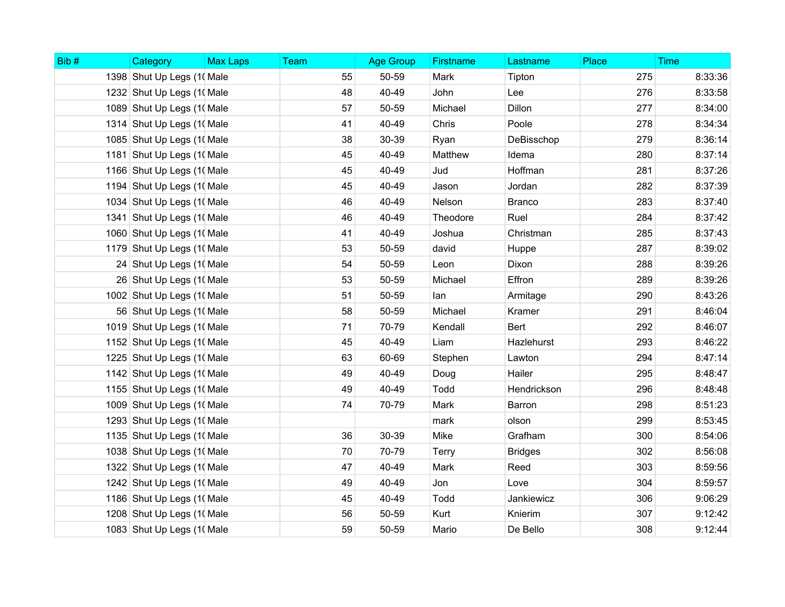| Bib# | Category                   | <b>Max Laps</b> | <b>Team</b> | <b>Age Group</b> | Firstname    | Lastname       | Place | <b>Time</b> |
|------|----------------------------|-----------------|-------------|------------------|--------------|----------------|-------|-------------|
|      | 1398 Shut Up Legs (1) Male |                 | 55          | 50-59            | Mark         | Tipton         | 275   | 8:33:36     |
|      | 1232 Shut Up Legs (1) Male |                 | 48          | 40-49            | John         | Lee            | 276   | 8:33:58     |
|      | 1089 Shut Up Legs (10 Male |                 | 57          | 50-59            | Michael      | Dillon         | 277   | 8:34:00     |
|      | 1314 Shut Up Legs (1) Male |                 | 41          | 40-49            | Chris        | Poole          | 278   | 8:34:34     |
|      | 1085 Shut Up Legs (10 Male |                 | 38          | 30-39            | Ryan         | DeBisschop     | 279   | 8:36:14     |
|      | 1181 Shut Up Legs (1) Male |                 | 45          | 40-49            | Matthew      | Idema          | 280   | 8:37:14     |
|      | 1166 Shut Up Legs (10 Male |                 | 45          | 40-49            | Jud          | Hoffman        | 281   | 8:37:26     |
|      | 1194 Shut Up Legs (10 Male |                 | 45          | 40-49            | Jason        | Jordan         | 282   | 8:37:39     |
|      | 1034 Shut Up Legs (1) Male |                 | 46          | 40-49            | Nelson       | <b>Branco</b>  | 283   | 8:37:40     |
|      | 1341 Shut Up Legs (10 Male |                 | 46          | 40-49            | Theodore     | Ruel           | 284   | 8:37:42     |
|      | 1060 Shut Up Legs (1) Male |                 | 41          | 40-49            | Joshua       | Christman      | 285   | 8:37:43     |
|      | 1179 Shut Up Legs (10 Male |                 | 53          | 50-59            | david        | Huppe          | 287   | 8:39:02     |
|      | 24 Shut Up Legs (1) Male   |                 | 54          | 50-59            | Leon         | Dixon          | 288   | 8:39:26     |
|      | 26 Shut Up Legs (1) Male   |                 | 53          | 50-59            | Michael      | Effron         | 289   | 8:39:26     |
|      | 1002 Shut Up Legs (1) Male |                 | 51          | 50-59            | lan          | Armitage       | 290   | 8:43:26     |
|      | 56 Shut Up Legs (1) Male   |                 | 58          | 50-59            | Michael      | Kramer         | 291   | 8:46:04     |
|      | 1019 Shut Up Legs (10 Male |                 | 71          | 70-79            | Kendall      | Bert           | 292   | 8:46:07     |
|      | 1152 Shut Up Legs (1) Male |                 | 45          | 40-49            | Liam         | Hazlehurst     | 293   | 8:46:22     |
|      | 1225 Shut Up Legs (1) Male |                 | 63          | 60-69            | Stephen      | Lawton         | 294   | 8:47:14     |
|      | 1142 Shut Up Legs (10 Male |                 | 49          | 40-49            | Doug         | Hailer         | 295   | 8:48:47     |
|      | 1155 Shut Up Legs (1) Male |                 | 49          | 40-49            | Todd         | Hendrickson    | 296   | 8:48:48     |
|      | 1009 Shut Up Legs (10 Male |                 | 74          | 70-79            | Mark         | Barron         | 298   | 8:51:23     |
|      | 1293 Shut Up Legs (1( Male |                 |             |                  | mark         | olson          | 299   | 8:53:45     |
|      | 1135 Shut Up Legs (1) Male |                 | 36          | 30-39            | Mike         | Grafham        | 300   | 8:54:06     |
|      | 1038 Shut Up Legs (10 Male |                 | 70          | 70-79            | <b>Terry</b> | <b>Bridges</b> | 302   | 8:56:08     |
|      | 1322 Shut Up Legs (1) Male |                 | 47          | 40-49            | Mark         | Reed           | 303   | 8:59:56     |
|      | 1242 Shut Up Legs (10 Male |                 | 49          | 40-49            | Jon          | Love           | 304   | 8:59:57     |
|      | 1186 Shut Up Legs (1) Male |                 | 45          | 40-49            | Todd         | Jankiewicz     | 306   | 9:06:29     |
|      | 1208 Shut Up Legs (1) Male |                 | 56          | 50-59            | Kurt         | Knierim        | 307   | 9:12:42     |
|      | 1083 Shut Up Legs (10 Male |                 | 59          | 50-59            | Mario        | De Bello       | 308   | 9:12:44     |